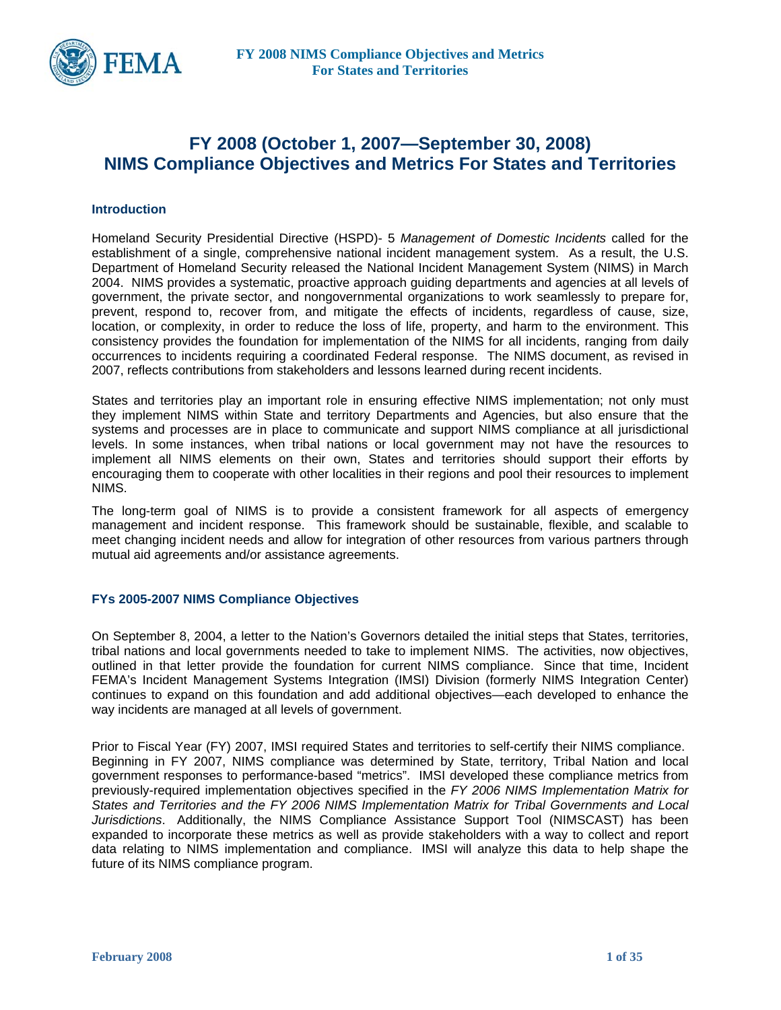

## **FY 2008 (October 1, 2007—September 30, 2008) NIMS Compliance Objectives and Metrics For States and Territories**

#### **Introduction**

Homeland Security Presidential Directive (HSPD)- 5 *Management of Domestic Incidents* called for the establishment of a single, comprehensive national incident management system. As a result, the U.S. Department of Homeland Security released the National Incident Management System (NIMS) in March 2004. NIMS provides a systematic, proactive approach guiding departments and agencies at all levels of government, the private sector, and nongovernmental organizations to work seamlessly to prepare for, prevent, respond to, recover from, and mitigate the effects of incidents, regardless of cause, size, location, or complexity, in order to reduce the loss of life, property, and harm to the environment. This consistency provides the foundation for implementation of the NIMS for all incidents, ranging from daily occurrences to incidents requiring a coordinated Federal response. The NIMS document, as revised in 2007, reflects contributions from stakeholders and lessons learned during recent incidents.

States and territories play an important role in ensuring effective NIMS implementation; not only must they implement NIMS within State and territory Departments and Agencies, but also ensure that the systems and processes are in place to communicate and support NIMS compliance at all jurisdictional levels. In some instances, when tribal nations or local government may not have the resources to implement all NIMS elements on their own, States and territories should support their efforts by encouraging them to cooperate with other localities in their regions and pool their resources to implement NIMS.

The long-term goal of NIMS is to provide a consistent framework for all aspects of emergency management and incident response. This framework should be sustainable, flexible, and scalable to meet changing incident needs and allow for integration of other resources from various partners through mutual aid agreements and/or assistance agreements.

#### **FYs 2005-2007 NIMS Compliance Objectives**

On September 8, 2004, a letter to the Nation's Governors detailed the initial steps that States, territories, tribal nations and local governments needed to take to implement NIMS. The activities, now objectives, outlined in that letter provide the foundation for current NIMS compliance. Since that time, Incident FEMA's Incident Management Systems Integration (IMSI) Division (formerly NIMS Integration Center) continues to expand on this foundation and add additional objectives—each developed to enhance the way incidents are managed at all levels of government.

Prior to Fiscal Year (FY) 2007, IMSI required States and territories to self-certify their NIMS compliance. Beginning in FY 2007, NIMS compliance was determined by State, territory, Tribal Nation and local government responses to performance-based "metrics". IMSI developed these compliance metrics from previously-required implementation objectives specified in the *FY 2006 NIMS Implementation Matrix for States and Territories and the FY 2006 NIMS Implementation Matrix for Tribal Governments and Local Jurisdictions*. Additionally, the NIMS Compliance Assistance Support Tool (NIMSCAST) has been expanded to incorporate these metrics as well as provide stakeholders with a way to collect and report data relating to NIMS implementation and compliance. IMSI will analyze this data to help shape the future of its NIMS compliance program.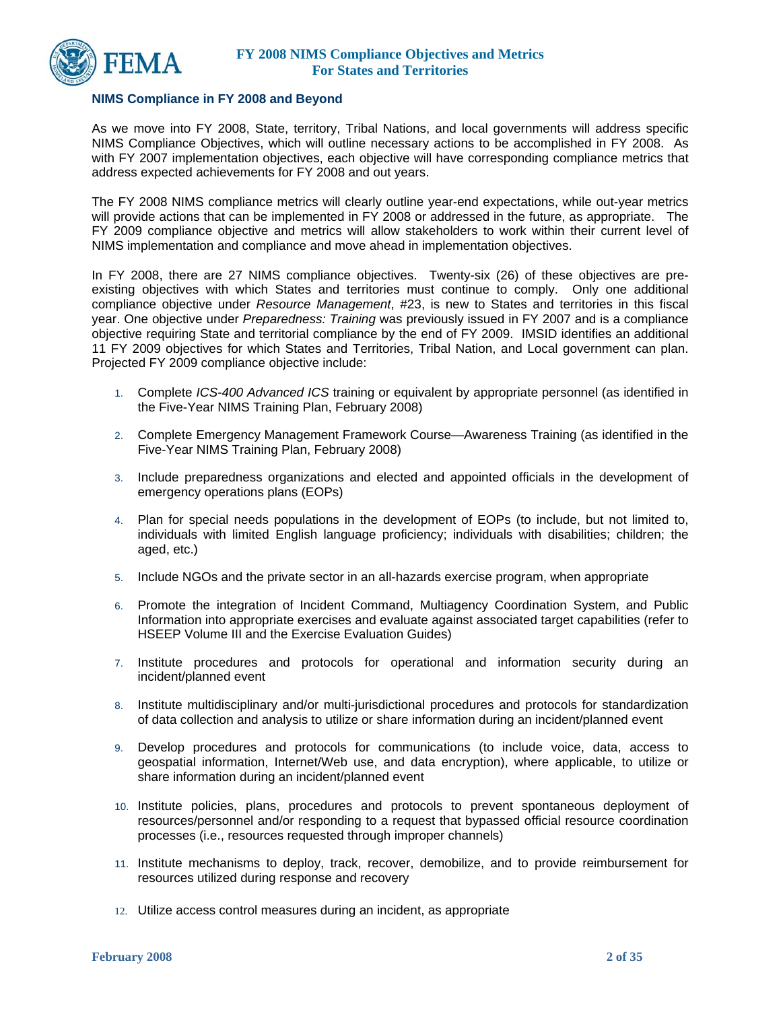

### **NIMS Compliance in FY 2008 and Beyond**

As we move into FY 2008, State, territory, Tribal Nations, and local governments will address specific NIMS Compliance Objectives, which will outline necessary actions to be accomplished in FY 2008. As with FY 2007 implementation objectives, each objective will have corresponding compliance metrics that address expected achievements for FY 2008 and out years.

The FY 2008 NIMS compliance metrics will clearly outline year-end expectations, while out-year metrics will provide actions that can be implemented in FY 2008 or addressed in the future, as appropriate. The FY 2009 compliance objective and metrics will allow stakeholders to work within their current level of NIMS implementation and compliance and move ahead in implementation objectives.

In FY 2008, there are 27 NIMS compliance objectives. Twenty-six (26) of these objectives are preexisting objectives with which States and territories must continue to comply. Only one additional compliance objective under *Resource Management*, #23, is new to States and territories in this fiscal year. One objective under *Preparedness: Training* was previously issued in FY 2007 and is a compliance objective requiring State and territorial compliance by the end of FY 2009. IMSID identifies an additional 11 FY 2009 objectives for which States and Territories, Tribal Nation, and Local government can plan. Projected FY 2009 compliance objective include:

- 1. Complete *ICS-400 Advanced ICS* training or equivalent by appropriate personnel (as identified in the Five-Year NIMS Training Plan, February 2008)
- 2. Complete Emergency Management Framework Course—Awareness Training (as identified in the Five-Year NIMS Training Plan, February 2008)
- 3. Include preparedness organizations and elected and appointed officials in the development of emergency operations plans (EOPs)
- 4. Plan for special needs populations in the development of EOPs (to include, but not limited to, individuals with limited English language proficiency; individuals with disabilities; children; the aged, etc.)
- 5. Include NGOs and the private sector in an all-hazards exercise program, when appropriate
- 6. Promote the integration of Incident Command, Multiagency Coordination System, and Public Information into appropriate exercises and evaluate against associated target capabilities (refer to HSEEP Volume III and the Exercise Evaluation Guides)
- 7. Institute procedures and protocols for operational and information security during an incident/planned event
- 8. Institute multidisciplinary and/or multi-jurisdictional procedures and protocols for standardization of data collection and analysis to utilize or share information during an incident/planned event
- 9. Develop procedures and protocols for communications (to include voice, data, access to geospatial information, Internet/Web use, and data encryption), where applicable, to utilize or share information during an incident/planned event
- 10. Institute policies, plans, procedures and protocols to prevent spontaneous deployment of resources/personnel and/or responding to a request that bypassed official resource coordination processes (i.e., resources requested through improper channels)
- 11. Institute mechanisms to deploy, track, recover, demobilize, and to provide reimbursement for resources utilized during response and recovery
- 12. Utilize access control measures during an incident, as appropriate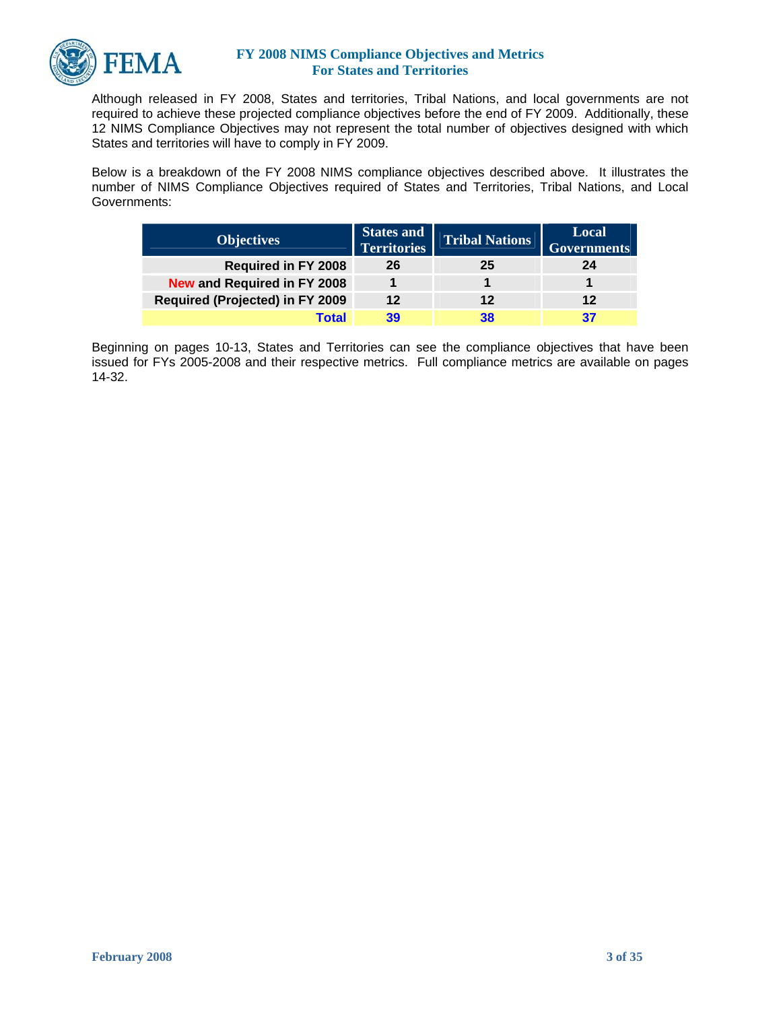

Although released in FY 2008, States and territories, Tribal Nations, and local governments are not required to achieve these projected compliance objectives before the end of FY 2009. Additionally, these 12 NIMS Compliance Objectives may not represent the total number of objectives designed with which States and territories will have to comply in FY 2009.

Below is a breakdown of the FY 2008 NIMS compliance objectives described above. It illustrates the number of NIMS Compliance Objectives required of States and Territories, Tribal Nations, and Local Governments:

| <b>Objectives</b>                      | <b>States and</b><br><b>Territories</b> | <b>Tribal Nations</b> | Local<br><b>Governments</b> |
|----------------------------------------|-----------------------------------------|-----------------------|-----------------------------|
| <b>Required in FY 2008</b>             | 26                                      | 25                    | 24                          |
| New and Required in FY 2008            |                                         |                       |                             |
| <b>Required (Projected) in FY 2009</b> | $12 \,$                                 | 12                    | 12                          |
| Total                                  | 39                                      | 38                    |                             |

Beginning on pages 10-13, States and Territories can see the compliance objectives that have been issued for FYs 2005-2008 and their respective metrics. Full compliance metrics are available on pages 14-32.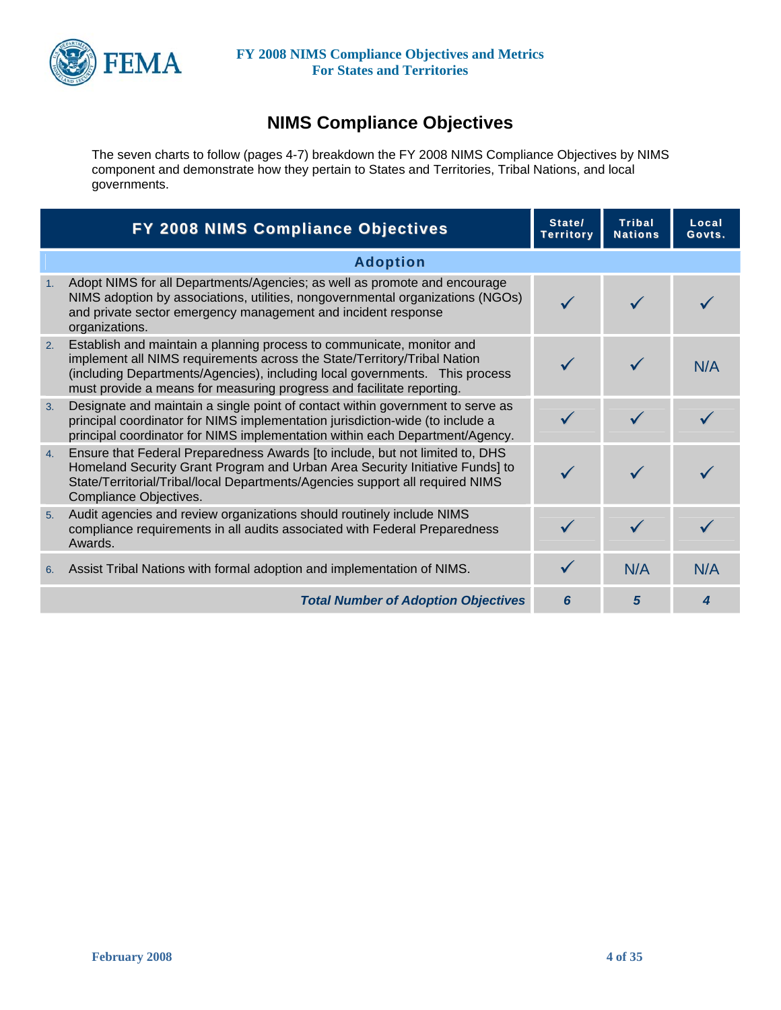

# **NIMS Compliance Objectives**

The seven charts to follow (pages 4-7) breakdown the FY 2008 NIMS Compliance Objectives by NIMS component and demonstrate how they pertain to States and Territories, Tribal Nations, and local governments.

|    | FY 2008 NIMS Compliance Objectives                                                                                                                                                                                                                                                                         | State/<br><b>Territory</b> | <b>Tribal</b><br><b>Nations</b> | Local<br>Govts. |
|----|------------------------------------------------------------------------------------------------------------------------------------------------------------------------------------------------------------------------------------------------------------------------------------------------------------|----------------------------|---------------------------------|-----------------|
|    | <b>Adoption</b>                                                                                                                                                                                                                                                                                            |                            |                                 |                 |
| 1. | Adopt NIMS for all Departments/Agencies; as well as promote and encourage<br>NIMS adoption by associations, utilities, nongovernmental organizations (NGOs)<br>and private sector emergency management and incident response<br>organizations.                                                             |                            |                                 |                 |
| 2. | Establish and maintain a planning process to communicate, monitor and<br>implement all NIMS requirements across the State/Territory/Tribal Nation<br>(including Departments/Agencies), including local governments.  This process<br>must provide a means for measuring progress and facilitate reporting. |                            |                                 | N/A             |
| 3. | Designate and maintain a single point of contact within government to serve as<br>principal coordinator for NIMS implementation jurisdiction-wide (to include a<br>principal coordinator for NIMS implementation within each Department/Agency.                                                            |                            |                                 |                 |
| 4. | Ensure that Federal Preparedness Awards [to include, but not limited to, DHS<br>Homeland Security Grant Program and Urban Area Security Initiative Funds] to<br>State/Territorial/Tribal/local Departments/Agencies support all required NIMS<br>Compliance Objectives.                                    |                            |                                 |                 |
| 5. | Audit agencies and review organizations should routinely include NIMS<br>compliance requirements in all audits associated with Federal Preparedness<br>Awards.                                                                                                                                             |                            |                                 |                 |
| 6. | Assist Tribal Nations with formal adoption and implementation of NIMS.                                                                                                                                                                                                                                     |                            | N/A                             | N/A             |
|    | <b>Total Number of Adoption Objectives</b>                                                                                                                                                                                                                                                                 | 6                          | $5\overline{5}$                 |                 |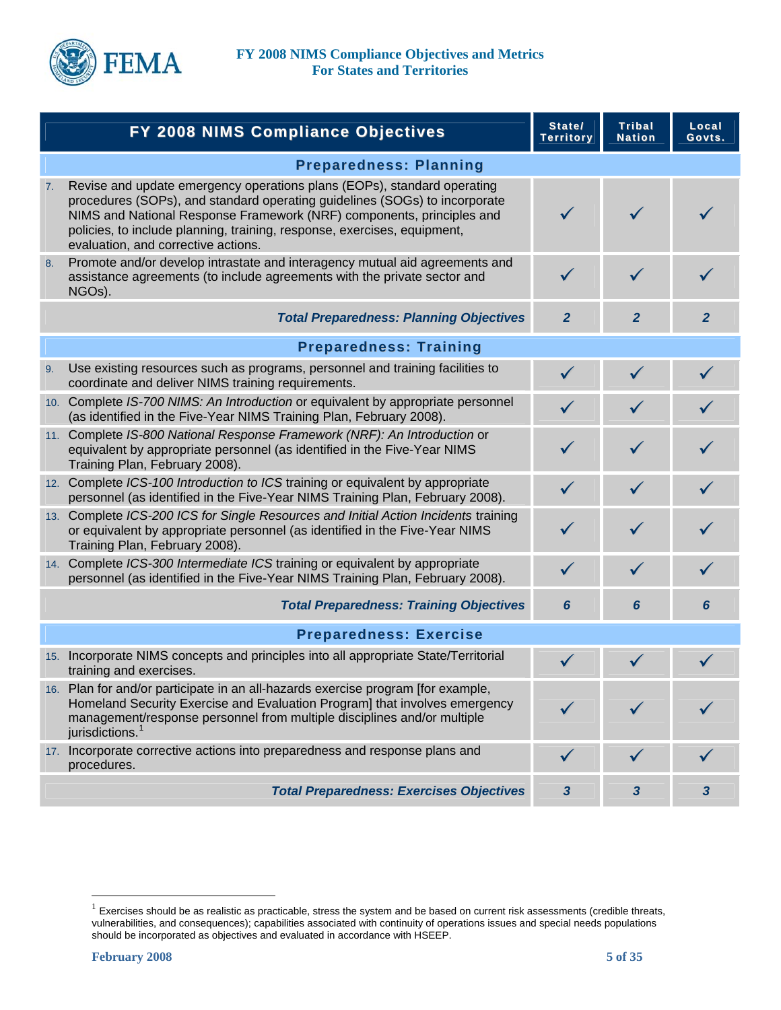

|    | FY 2008 NIMS Compliance Objectives                                                                                                                                                                                                                                                                                                                | State/<br><b>Territory</b> | <b>Tribal</b><br><b>Nation</b> | Local<br>Govts. |
|----|---------------------------------------------------------------------------------------------------------------------------------------------------------------------------------------------------------------------------------------------------------------------------------------------------------------------------------------------------|----------------------------|--------------------------------|-----------------|
|    | <b>Preparedness: Planning</b>                                                                                                                                                                                                                                                                                                                     |                            |                                |                 |
| 7. | Revise and update emergency operations plans (EOPs), standard operating<br>procedures (SOPs), and standard operating guidelines (SOGs) to incorporate<br>NIMS and National Response Framework (NRF) components, principles and<br>policies, to include planning, training, response, exercises, equipment,<br>evaluation, and corrective actions. | $\checkmark$               | $\checkmark$                   |                 |
| 8. | Promote and/or develop intrastate and interagency mutual aid agreements and<br>assistance agreements (to include agreements with the private sector and<br>NGOs).                                                                                                                                                                                 | $\checkmark$               | $\checkmark$                   |                 |
|    | <b>Total Preparedness: Planning Objectives</b>                                                                                                                                                                                                                                                                                                    | $\mathbf{2}$               | $\mathbf{2}$                   | $\mathbf{2}$    |
|    | <b>Preparedness: Training</b>                                                                                                                                                                                                                                                                                                                     |                            |                                |                 |
| 9. | Use existing resources such as programs, personnel and training facilities to<br>coordinate and deliver NIMS training requirements.                                                                                                                                                                                                               | $\checkmark$               | $\checkmark$                   | $\checkmark$    |
|    | 10. Complete IS-700 NIMS: An Introduction or equivalent by appropriate personnel<br>(as identified in the Five-Year NIMS Training Plan, February 2008).                                                                                                                                                                                           |                            |                                |                 |
|    | 11. Complete IS-800 National Response Framework (NRF): An Introduction or<br>equivalent by appropriate personnel (as identified in the Five-Year NIMS<br>Training Plan, February 2008).                                                                                                                                                           | ✓                          |                                |                 |
|    | 12. Complete ICS-100 Introduction to ICS training or equivalent by appropriate<br>personnel (as identified in the Five-Year NIMS Training Plan, February 2008).                                                                                                                                                                                   |                            | $\checkmark$                   |                 |
|    | 13. Complete ICS-200 ICS for Single Resources and Initial Action Incidents training<br>or equivalent by appropriate personnel (as identified in the Five-Year NIMS<br>Training Plan, February 2008).                                                                                                                                              |                            |                                |                 |
|    | 14. Complete ICS-300 Intermediate ICS training or equivalent by appropriate<br>personnel (as identified in the Five-Year NIMS Training Plan, February 2008).                                                                                                                                                                                      | $\checkmark$               | $\checkmark$                   |                 |
|    | <b>Total Preparedness: Training Objectives</b>                                                                                                                                                                                                                                                                                                    | 6                          | 6                              | 6               |
|    | <b>Preparedness: Exercise</b>                                                                                                                                                                                                                                                                                                                     |                            |                                |                 |
|    | 15. Incorporate NIMS concepts and principles into all appropriate State/Territorial<br>training and exercises.                                                                                                                                                                                                                                    | $\checkmark$               |                                |                 |
|    | 16. Plan for and/or participate in an all-hazards exercise program [for example,<br>Homeland Security Exercise and Evaluation Program] that involves emergency<br>management/response personnel from multiple disciplines and/or multiple<br>jurisdictions. <sup>1</sup>                                                                          |                            |                                |                 |
|    | 17. Incorporate corrective actions into preparedness and response plans and<br>procedures.                                                                                                                                                                                                                                                        |                            |                                |                 |
|    | <b>Total Preparedness: Exercises Objectives</b>                                                                                                                                                                                                                                                                                                   | 3                          | $\overline{\mathbf{3}}$        |                 |

 $\overline{a}$ 

<span id="page-4-0"></span> $1$  Exercises should be as realistic as practicable, stress the system and be based on current risk assessments (credible threats, vulnerabilities, and consequences); capabilities associated with continuity of operations issues and special needs populations should be incorporated as objectives and evaluated in accordance with HSEEP.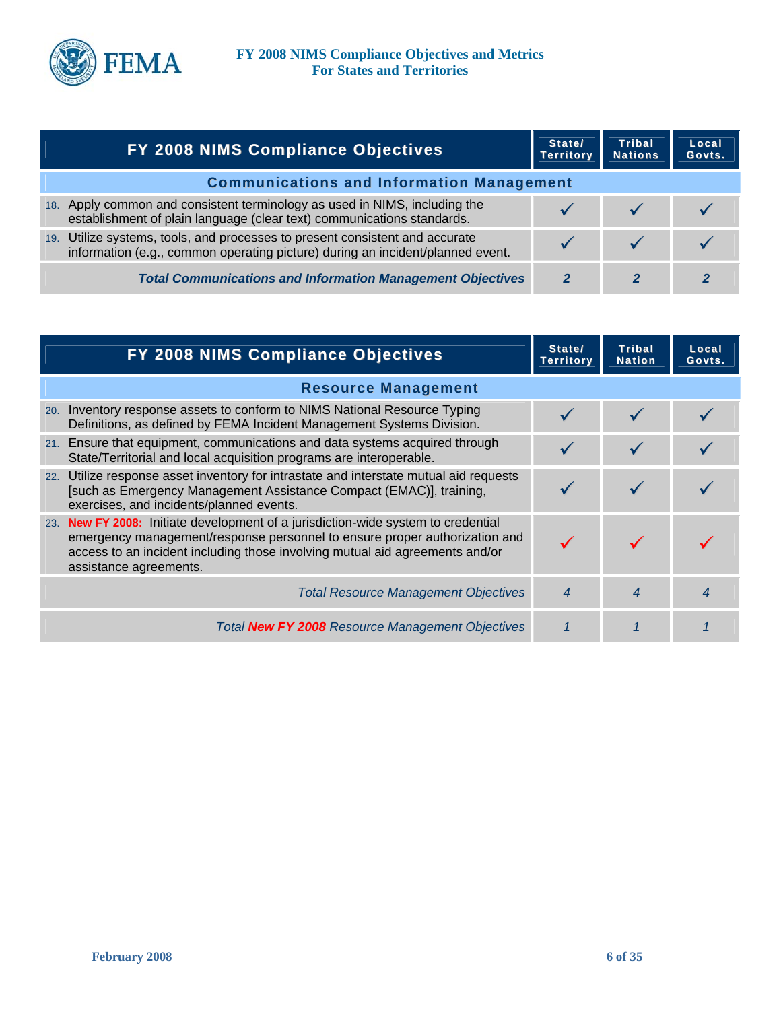

|     | <b>FY 2008 NIMS Compliance Objectives</b>                                                                                                                  | State/<br><b>Territory</b> | <b>Tribal</b><br><b>Nations</b> | Local<br>Govts. |
|-----|------------------------------------------------------------------------------------------------------------------------------------------------------------|----------------------------|---------------------------------|-----------------|
|     | <b>Communications and Information Management</b>                                                                                                           |                            |                                 |                 |
| 18. | Apply common and consistent terminology as used in NIMS, including the<br>establishment of plain language (clear text) communications standards.           |                            |                                 |                 |
| 19. | Utilize systems, tools, and processes to present consistent and accurate<br>information (e.g., common operating picture) during an incident/planned event. |                            |                                 |                 |
|     | <b>Total Communications and Information Management Objectives</b>                                                                                          |                            |                                 |                 |

|     | FY 2008 NIMS Compliance Objectives                                                                                                                                                                                                                                    | State/<br>Territory | <b>Tribal</b><br><b>Nation</b> | Local<br>Govts. |
|-----|-----------------------------------------------------------------------------------------------------------------------------------------------------------------------------------------------------------------------------------------------------------------------|---------------------|--------------------------------|-----------------|
|     | <b>Resource Management</b>                                                                                                                                                                                                                                            |                     |                                |                 |
| 20. | Inventory response assets to conform to NIMS National Resource Typing<br>Definitions, as defined by FEMA Incident Management Systems Division.                                                                                                                        |                     |                                |                 |
|     | 21. Ensure that equipment, communications and data systems acquired through<br>State/Territorial and local acquisition programs are interoperable.                                                                                                                    |                     |                                |                 |
|     | 22. Utilize response asset inventory for intrastate and interstate mutual aid requests<br>[such as Emergency Management Assistance Compact (EMAC)], training,<br>exercises, and incidents/planned events.                                                             |                     |                                |                 |
| 23. | New FY 2008: Initiate development of a jurisdiction-wide system to credential<br>emergency management/response personnel to ensure proper authorization and<br>access to an incident including those involving mutual aid agreements and/or<br>assistance agreements. |                     |                                |                 |
|     | <b>Total Resource Management Objectives</b>                                                                                                                                                                                                                           | 4                   | 4                              |                 |
|     | Total New FY 2008 Resource Management Objectives                                                                                                                                                                                                                      |                     |                                |                 |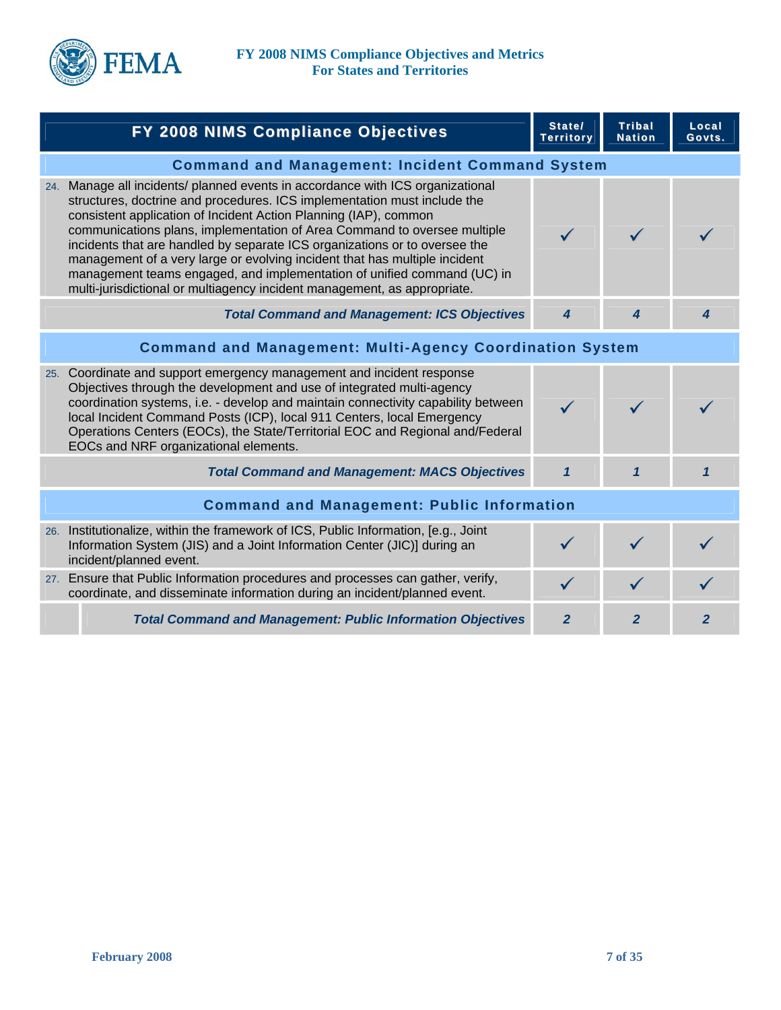

| FY 2008 NIMS Compliance Objectives                                                                                                                                                                                                                                                                                                                                                                                                                                                                                                                                                                                            | State/<br><b>Territory</b> | <b>Tribal</b><br><b>Nation</b> | Local<br>Govts. |
|-------------------------------------------------------------------------------------------------------------------------------------------------------------------------------------------------------------------------------------------------------------------------------------------------------------------------------------------------------------------------------------------------------------------------------------------------------------------------------------------------------------------------------------------------------------------------------------------------------------------------------|----------------------------|--------------------------------|-----------------|
| <b>Command and Management: Incident Command System</b>                                                                                                                                                                                                                                                                                                                                                                                                                                                                                                                                                                        |                            |                                |                 |
| 24. Manage all incidents/ planned events in accordance with ICS organizational<br>structures, doctrine and procedures. ICS implementation must include the<br>consistent application of Incident Action Planning (IAP), common<br>communications plans, implementation of Area Command to oversee multiple<br>incidents that are handled by separate ICS organizations or to oversee the<br>management of a very large or evolving incident that has multiple incident<br>management teams engaged, and implementation of unified command (UC) in<br>multi-jurisdictional or multiagency incident management, as appropriate. |                            |                                |                 |
| <b>Total Command and Management: ICS Objectives</b>                                                                                                                                                                                                                                                                                                                                                                                                                                                                                                                                                                           | 4                          | 4                              | 4               |
| <b>Command and Management: Multi-Agency Coordination System</b>                                                                                                                                                                                                                                                                                                                                                                                                                                                                                                                                                               |                            |                                |                 |
| 25. Coordinate and support emergency management and incident response<br>Objectives through the development and use of integrated multi-agency<br>coordination systems, i.e. - develop and maintain connectivity capability between<br>local Incident Command Posts (ICP), local 911 Centers, local Emergency<br>Operations Centers (EOCs), the State/Territorial EOC and Regional and/Federal<br>EOCs and NRF organizational elements.                                                                                                                                                                                       | $\checkmark$               |                                |                 |
| <b>Total Command and Management: MACS Objectives</b>                                                                                                                                                                                                                                                                                                                                                                                                                                                                                                                                                                          | $\mathbf{1}$               | $\mathbf{1}$                   | $\mathbf{1}$    |
| <b>Command and Management: Public Information</b>                                                                                                                                                                                                                                                                                                                                                                                                                                                                                                                                                                             |                            |                                |                 |
| 26. Institutionalize, within the framework of ICS, Public Information, [e.g., Joint]<br>Information System (JIS) and a Joint Information Center (JIC)] during an<br>incident/planned event.                                                                                                                                                                                                                                                                                                                                                                                                                                   | $\checkmark$               |                                |                 |
| 27. Ensure that Public Information procedures and processes can gather, verify,<br>coordinate, and disseminate information during an incident/planned event.                                                                                                                                                                                                                                                                                                                                                                                                                                                                  | $\checkmark$               |                                |                 |
| <b>Total Command and Management: Public Information Objectives</b>                                                                                                                                                                                                                                                                                                                                                                                                                                                                                                                                                            | $\overline{2}$             | $\overline{2}$                 | $\overline{2}$  |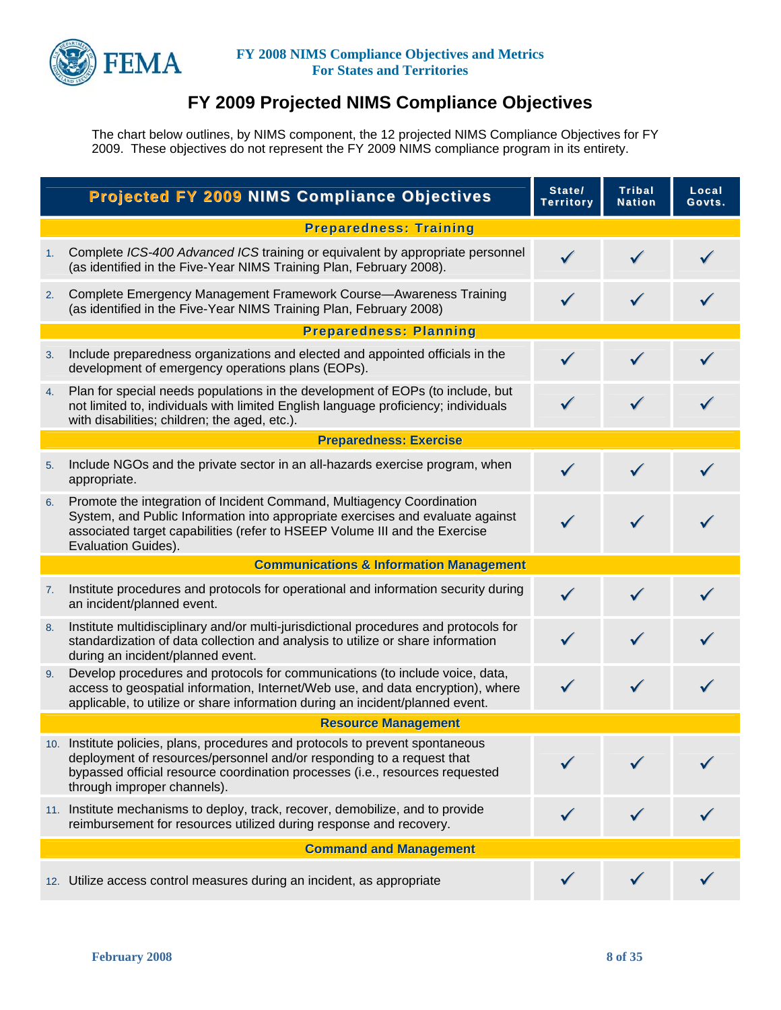

## **FY 2009 Projected NIMS Compliance Objectives**

The chart below outlines, by NIMS component, the 12 projected NIMS Compliance Objectives for FY 2009. These objectives do not represent the FY 2009 NIMS compliance program in its entirety.

|    | <b>Projected FY 2009 NIMS Compliance Objectives</b>                                                                                                                                                                                                                    | State/<br><b>Territory</b> | <b>Tribal</b><br><b>Nation</b> | Local<br>Govts. |
|----|------------------------------------------------------------------------------------------------------------------------------------------------------------------------------------------------------------------------------------------------------------------------|----------------------------|--------------------------------|-----------------|
|    | <b>Preparedness: Training</b>                                                                                                                                                                                                                                          |                            |                                |                 |
| 1. | Complete ICS-400 Advanced ICS training or equivalent by appropriate personnel<br>(as identified in the Five-Year NIMS Training Plan, February 2008).                                                                                                                   | $\checkmark$               |                                |                 |
| 2. | Complete Emergency Management Framework Course-Awareness Training<br>(as identified in the Five-Year NIMS Training Plan, February 2008)                                                                                                                                | $\checkmark$               | $\checkmark$                   |                 |
|    | <b>Preparedness: Planning</b>                                                                                                                                                                                                                                          |                            |                                |                 |
| 3. | Include preparedness organizations and elected and appointed officials in the<br>development of emergency operations plans (EOPs).                                                                                                                                     | $\checkmark$               |                                |                 |
| 4. | Plan for special needs populations in the development of EOPs (to include, but<br>not limited to, individuals with limited English language proficiency; individuals<br>with disabilities; children; the aged, etc.).                                                  |                            |                                |                 |
|    | <b>Preparedness: Exercise</b>                                                                                                                                                                                                                                          |                            |                                |                 |
| 5. | Include NGOs and the private sector in an all-hazards exercise program, when<br>appropriate.                                                                                                                                                                           | $\checkmark$               |                                |                 |
| 6. | Promote the integration of Incident Command, Multiagency Coordination<br>System, and Public Information into appropriate exercises and evaluate against<br>associated target capabilities (refer to HSEEP Volume III and the Exercise<br>Evaluation Guides).           | $\checkmark$               |                                |                 |
|    | <b>Communications &amp; Information Management</b>                                                                                                                                                                                                                     |                            |                                |                 |
| 7. | Institute procedures and protocols for operational and information security during<br>an incident/planned event.                                                                                                                                                       |                            |                                |                 |
| 8. | Institute multidisciplinary and/or multi-jurisdictional procedures and protocols for<br>standardization of data collection and analysis to utilize or share information<br>during an incident/planned event.                                                           |                            |                                |                 |
| 9. | Develop procedures and protocols for communications (to include voice, data,<br>access to geospatial information, Internet/Web use, and data encryption), where<br>applicable, to utilize or share information during an incident/planned event.                       |                            | $\checkmark$                   |                 |
|    | <b>Resource Management</b>                                                                                                                                                                                                                                             |                            |                                |                 |
|    | 10. Institute policies, plans, procedures and protocols to prevent spontaneous<br>deployment of resources/personnel and/or responding to a request that<br>bypassed official resource coordination processes (i.e., resources requested<br>through improper channels). |                            |                                |                 |
|    | 11. Institute mechanisms to deploy, track, recover, demobilize, and to provide<br>reimbursement for resources utilized during response and recovery.                                                                                                                   |                            |                                |                 |
|    | <b>Command and Management</b>                                                                                                                                                                                                                                          |                            |                                |                 |
|    | 12. Utilize access control measures during an incident, as appropriate                                                                                                                                                                                                 |                            |                                |                 |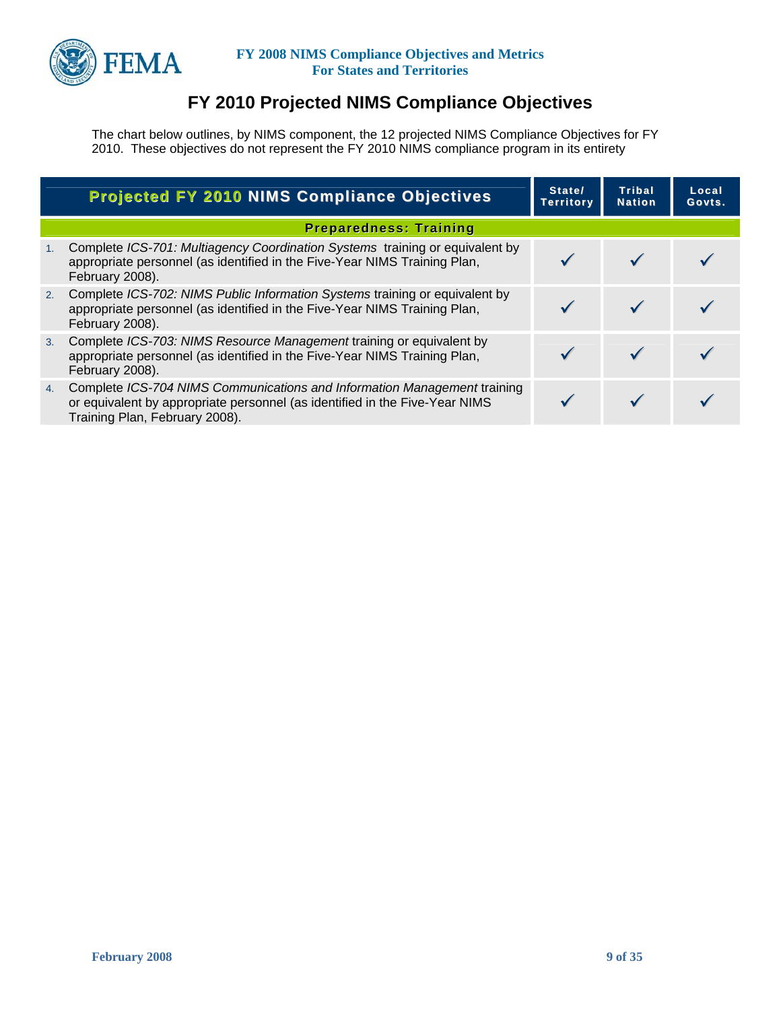

## **FY 2010 Projected NIMS Compliance Objectives**

The chart below outlines, by NIMS component, the 12 projected NIMS Compliance Objectives for FY 2010. These objectives do not represent the FY 2010 NIMS compliance program in its entirety

|    | <b>Projected FY 2010 NIMS Compliance Objectives</b>                                                                                                                                       | State/<br><b>Territory</b> | Tribal<br><b>Nation</b> | Local<br>Govts. |
|----|-------------------------------------------------------------------------------------------------------------------------------------------------------------------------------------------|----------------------------|-------------------------|-----------------|
|    | <b>Preparedness: Training</b>                                                                                                                                                             |                            |                         |                 |
| 1. | Complete ICS-701: Multiagency Coordination Systems training or equivalent by<br>appropriate personnel (as identified in the Five-Year NIMS Training Plan,<br>February 2008).              |                            |                         |                 |
| 2. | Complete ICS-702: NIMS Public Information Systems training or equivalent by<br>appropriate personnel (as identified in the Five-Year NIMS Training Plan,<br>February 2008).               |                            |                         |                 |
| 3. | Complete ICS-703: NIMS Resource Management training or equivalent by<br>appropriate personnel (as identified in the Five-Year NIMS Training Plan,<br>February 2008).                      |                            |                         |                 |
| 4. | Complete ICS-704 NIMS Communications and Information Management training<br>or equivalent by appropriate personnel (as identified in the Five-Year NIMS<br>Training Plan, February 2008). |                            |                         |                 |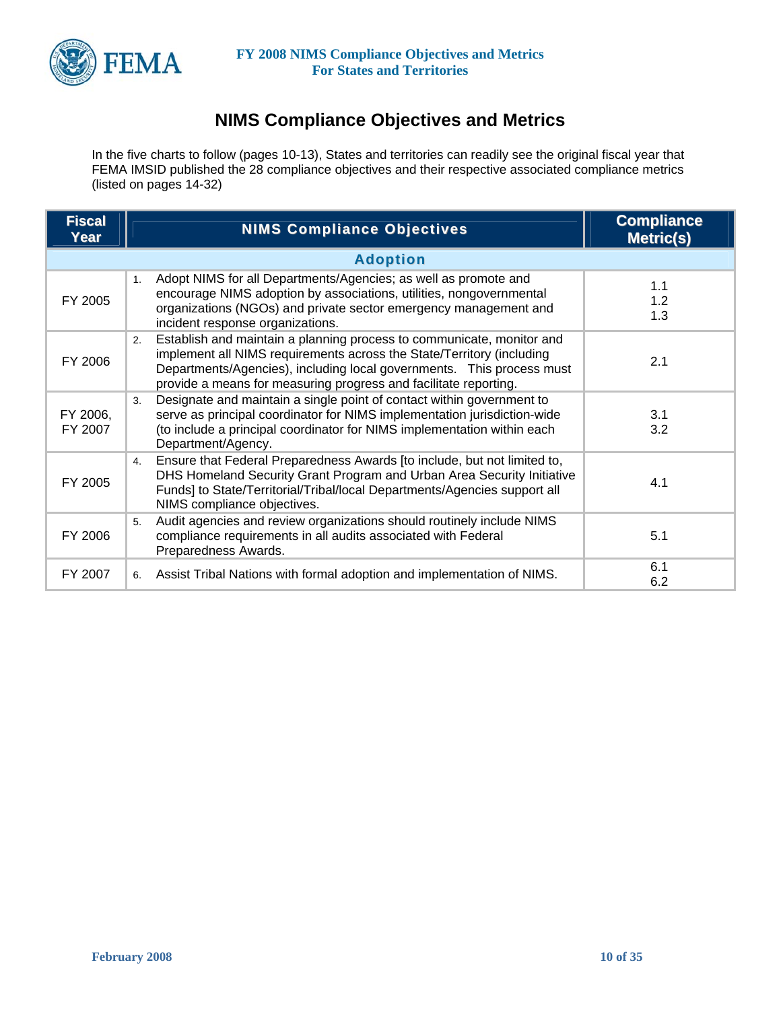

## **NIMS Compliance Objectives and Metrics**

In the five charts to follow (pages 10-13), States and territories can readily see the original fiscal year that FEMA IMSID published the 28 compliance objectives and their respective associated compliance metrics (listed on pages 14-32)

| <b>Fiscal</b><br>Year | <b>NIMS Compliance Objectives</b>                                                                                                                                                                                                                                                                 | <b>Compliance</b><br><b>Metric(s)</b> |
|-----------------------|---------------------------------------------------------------------------------------------------------------------------------------------------------------------------------------------------------------------------------------------------------------------------------------------------|---------------------------------------|
|                       | <b>Adoption</b>                                                                                                                                                                                                                                                                                   |                                       |
| FY 2005               | Adopt NIMS for all Departments/Agencies; as well as promote and<br>1.<br>encourage NIMS adoption by associations, utilities, nongovernmental<br>organizations (NGOs) and private sector emergency management and<br>incident response organizations.                                              | 1.1<br>1.2<br>1.3                     |
| FY 2006               | Establish and maintain a planning process to communicate, monitor and<br>2.<br>implement all NIMS requirements across the State/Territory (including<br>Departments/Agencies), including local governments. This process must<br>provide a means for measuring progress and facilitate reporting. | 2.1                                   |
| FY 2006,<br>FY 2007   | Designate and maintain a single point of contact within government to<br>3.<br>serve as principal coordinator for NIMS implementation jurisdiction-wide<br>(to include a principal coordinator for NIMS implementation within each<br>Department/Agency.                                          | 3.1<br>3.2                            |
| FY 2005               | Ensure that Federal Preparedness Awards [to include, but not limited to,<br>4 <sup>1</sup><br>DHS Homeland Security Grant Program and Urban Area Security Initiative<br>Funds] to State/Territorial/Tribal/local Departments/Agencies support all<br>NIMS compliance objectives.                  |                                       |
| FY 2006               | Audit agencies and review organizations should routinely include NIMS<br>5.<br>compliance requirements in all audits associated with Federal<br>Preparedness Awards.                                                                                                                              | 5.1                                   |
| FY 2007               | Assist Tribal Nations with formal adoption and implementation of NIMS.<br>6.                                                                                                                                                                                                                      | 6.1<br>6.2                            |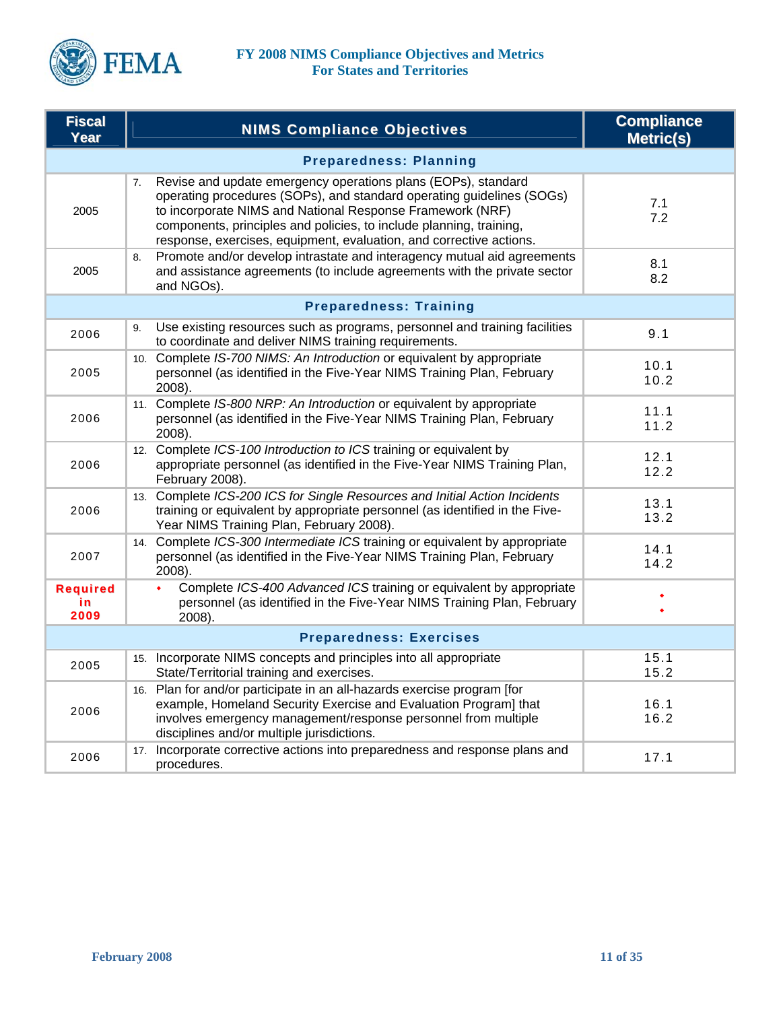

| <b>Fiscal</b><br>Year         | <b>NIMS Compliance Objectives</b>                                                                                                                                                                                                                                                                                                                       | <b>Compliance</b><br><b>Metric(s)</b> |
|-------------------------------|---------------------------------------------------------------------------------------------------------------------------------------------------------------------------------------------------------------------------------------------------------------------------------------------------------------------------------------------------------|---------------------------------------|
|                               | <b>Preparedness: Planning</b>                                                                                                                                                                                                                                                                                                                           |                                       |
| 2005                          | Revise and update emergency operations plans (EOPs), standard<br>7.<br>operating procedures (SOPs), and standard operating guidelines (SOGs)<br>to incorporate NIMS and National Response Framework (NRF)<br>components, principles and policies, to include planning, training,<br>response, exercises, equipment, evaluation, and corrective actions. | 7.1<br>7.2                            |
| 2005                          | Promote and/or develop intrastate and interagency mutual aid agreements<br>8.<br>and assistance agreements (to include agreements with the private sector<br>and NGOs).                                                                                                                                                                                 | 8.1<br>8.2                            |
|                               | <b>Preparedness: Training</b>                                                                                                                                                                                                                                                                                                                           |                                       |
| 2006                          | Use existing resources such as programs, personnel and training facilities<br>9.<br>to coordinate and deliver NIMS training requirements.                                                                                                                                                                                                               | 9.1                                   |
| 2005                          | 10. Complete IS-700 NIMS: An Introduction or equivalent by appropriate<br>personnel (as identified in the Five-Year NIMS Training Plan, February<br>2008).                                                                                                                                                                                              | 10.1<br>10.2                          |
| 2006                          | 11. Complete IS-800 NRP: An Introduction or equivalent by appropriate<br>personnel (as identified in the Five-Year NIMS Training Plan, February<br>2008).                                                                                                                                                                                               | 11.1<br>11.2                          |
| 2006                          | 12. Complete ICS-100 Introduction to ICS training or equivalent by<br>appropriate personnel (as identified in the Five-Year NIMS Training Plan,<br>February 2008).                                                                                                                                                                                      | 12.1<br>12.2                          |
| 2006                          | 13. Complete ICS-200 ICS for Single Resources and Initial Action Incidents<br>training or equivalent by appropriate personnel (as identified in the Five-<br>Year NIMS Training Plan, February 2008).                                                                                                                                                   | 13.1<br>13.2                          |
| 2007                          | 14. Complete ICS-300 Intermediate ICS training or equivalent by appropriate<br>personnel (as identified in the Five-Year NIMS Training Plan, February<br>$2008$ ).                                                                                                                                                                                      | 14.1<br>14.2                          |
| <b>Required</b><br>in<br>2009 | Complete ICS-400 Advanced ICS training or equivalent by appropriate<br>personnel (as identified in the Five-Year NIMS Training Plan, February<br>2008).                                                                                                                                                                                                 |                                       |
|                               | <b>Preparedness: Exercises</b>                                                                                                                                                                                                                                                                                                                          |                                       |
| 2005                          | 15. Incorporate NIMS concepts and principles into all appropriate<br>State/Territorial training and exercises.                                                                                                                                                                                                                                          | 15.1<br>15.2                          |
| 2006                          | 16. Plan for and/or participate in an all-hazards exercise program [for<br>example, Homeland Security Exercise and Evaluation Program] that<br>involves emergency management/response personnel from multiple<br>disciplines and/or multiple jurisdictions.                                                                                             | 16.1<br>16.2                          |
| 2006                          | 17. Incorporate corrective actions into preparedness and response plans and<br>procedures.                                                                                                                                                                                                                                                              | 17.1                                  |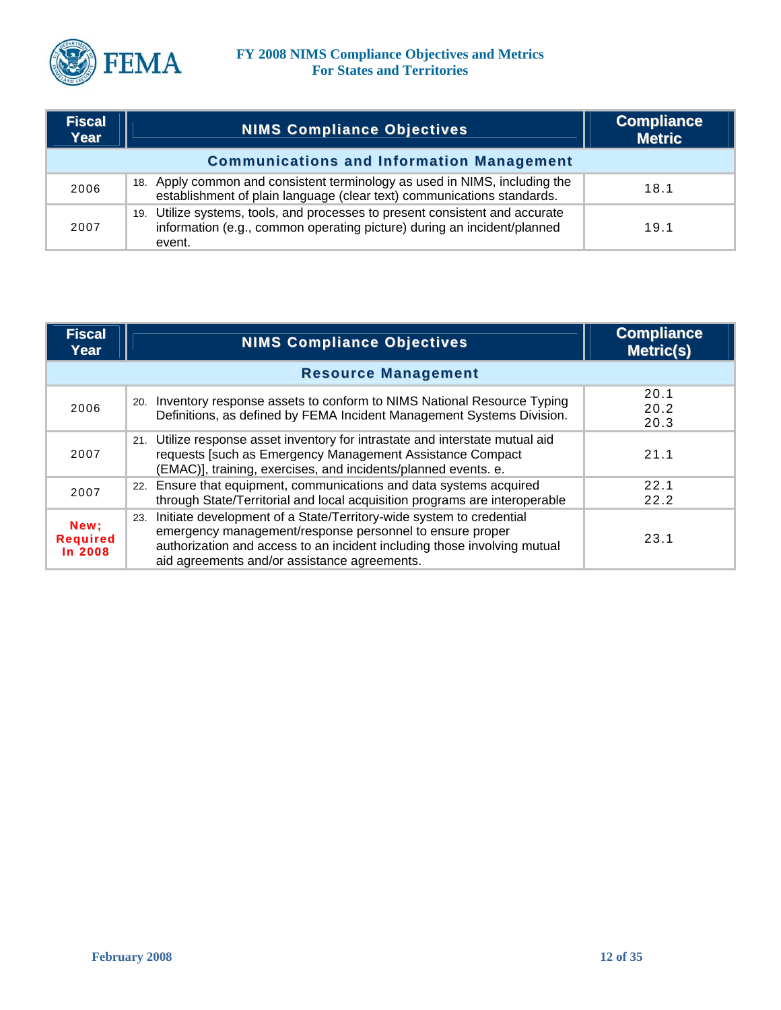

| <b>Fiscal</b><br>Year | <b>NIMS Compliance Objectives</b>                                                                                                                                 | <b>Compliance</b><br><b>Metric</b> |
|-----------------------|-------------------------------------------------------------------------------------------------------------------------------------------------------------------|------------------------------------|
|                       | <b>Communications and Information Management</b>                                                                                                                  |                                    |
| 2006                  | 18. Apply common and consistent terminology as used in NIMS, including the<br>establishment of plain language (clear text) communications standards.              | 18.1                               |
| 2007                  | 19. Utilize systems, tools, and processes to present consistent and accurate<br>information (e.g., common operating picture) during an incident/planned<br>event. | 19.1                               |

| <b>Fiscal</b><br>Year              | <b>NIMS Compliance Objectives</b>                                                                                                                                                                                                                                  | <b>Compliance</b><br><b>Metric(s)</b> |
|------------------------------------|--------------------------------------------------------------------------------------------------------------------------------------------------------------------------------------------------------------------------------------------------------------------|---------------------------------------|
|                                    | <b>Resource Management</b>                                                                                                                                                                                                                                         |                                       |
| 2006                               | 20. Inventory response assets to conform to NIMS National Resource Typing<br>Definitions, as defined by FEMA Incident Management Systems Division.                                                                                                                 | 20.1<br>20.2<br>20.3                  |
| 2007                               | 21. Utilize response asset inventory for intrastate and interstate mutual aid<br>requests [such as Emergency Management Assistance Compact<br>(EMAC)], training, exercises, and incidents/planned events. e.                                                       | 21.1                                  |
| 2007                               | 22. Ensure that equipment, communications and data systems acquired<br>through State/Territorial and local acquisition programs are interoperable                                                                                                                  | 22.1<br>22.2                          |
| New:<br><b>Required</b><br>In 2008 | Initiate development of a State/Territory-wide system to credential<br>23.<br>emergency management/response personnel to ensure proper<br>authorization and access to an incident including those involving mutual<br>aid agreements and/or assistance agreements. | 23.1                                  |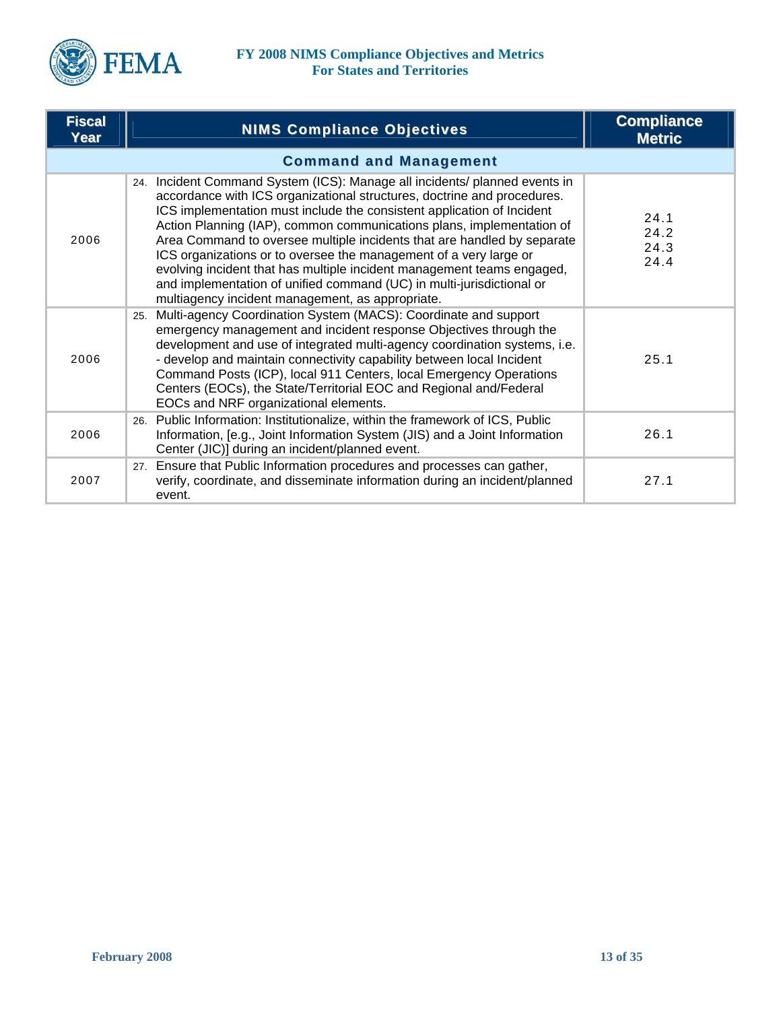

| <b>Fiscal</b><br>Year | <b>NIMS Compliance Objectives</b>                                                                                                                                                                                                                                                                                                                                                                                                                                                                                                                                                                                                                               | <b>Compliance</b><br><b>Metric</b> |
|-----------------------|-----------------------------------------------------------------------------------------------------------------------------------------------------------------------------------------------------------------------------------------------------------------------------------------------------------------------------------------------------------------------------------------------------------------------------------------------------------------------------------------------------------------------------------------------------------------------------------------------------------------------------------------------------------------|------------------------------------|
|                       | <b>Command and Management</b>                                                                                                                                                                                                                                                                                                                                                                                                                                                                                                                                                                                                                                   |                                    |
| 2006                  | 24. Incident Command System (ICS): Manage all incidents/ planned events in<br>accordance with ICS organizational structures, doctrine and procedures.<br>ICS implementation must include the consistent application of Incident<br>Action Planning (IAP), common communications plans, implementation of<br>Area Command to oversee multiple incidents that are handled by separate<br>ICS organizations or to oversee the management of a very large or<br>evolving incident that has multiple incident management teams engaged,<br>and implementation of unified command (UC) in multi-jurisdictional or<br>multiagency incident management, as appropriate. | 24.1<br>24.2<br>24.3<br>24.4       |
| 2006                  | Multi-agency Coordination System (MACS): Coordinate and support<br>25.<br>emergency management and incident response Objectives through the<br>development and use of integrated multi-agency coordination systems, i.e.<br>- develop and maintain connectivity capability between local Incident<br>Command Posts (ICP), local 911 Centers, local Emergency Operations<br>Centers (EOCs), the State/Territorial EOC and Regional and/Federal<br>EOCs and NRF organizational elements.                                                                                                                                                                          | 25.1                               |
| 2006                  | Public Information: Institutionalize, within the framework of ICS, Public<br>26.<br>Information, [e.g., Joint Information System (JIS) and a Joint Information<br>Center (JIC)] during an incident/planned event.                                                                                                                                                                                                                                                                                                                                                                                                                                               | 26.1                               |
| 2007                  | 27. Ensure that Public Information procedures and processes can gather,<br>verify, coordinate, and disseminate information during an incident/planned<br>event.                                                                                                                                                                                                                                                                                                                                                                                                                                                                                                 | 27.1                               |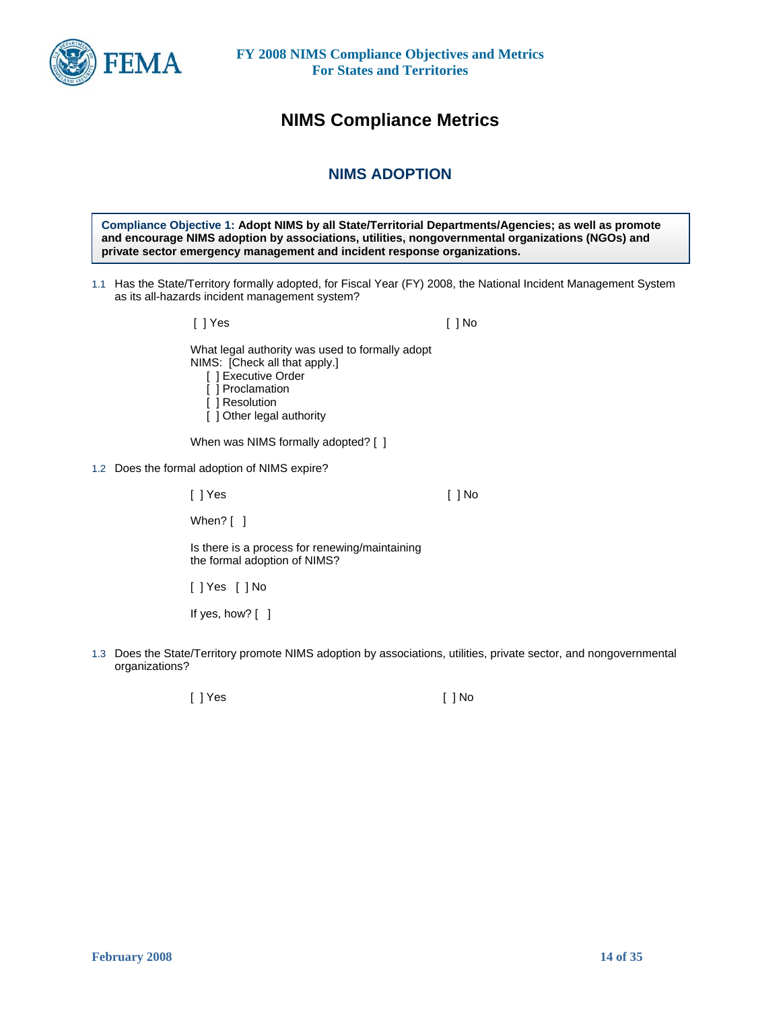

## **NIMS Compliance Metrics**

## **NIMS ADOPTION**

**Compliance Objective 1: Adopt NIMS by all State/Territorial Departments/Agencies; as well as promote and encourage NIMS adoption by associations, utilities, nongovernmental organizations (NGOs) and private sector emergency management and incident response organizations.** 

1.1 Has the State/Territory formally adopted, for Fiscal Year (FY) 2008, the National Incident Management System as its all-hazards incident management system?

| 1 Yes                                                                                                                                                                | No    |
|----------------------------------------------------------------------------------------------------------------------------------------------------------------------|-------|
| What legal authority was used to formally adopt<br>NIMS: [Check all that apply.]<br>[ ] Executive Order<br>1 Proclamation<br>1 Resolution<br>1 Other legal authority |       |
| When was NIMS formally adopted? [1]                                                                                                                                  |       |
| 1.2 Does the formal adoption of NIMS expire?                                                                                                                         |       |
| [ ] Yes                                                                                                                                                              | l INo |
| When? [ 1                                                                                                                                                            |       |
|                                                                                                                                                                      |       |

Is there is a process for renewing/maintaining the formal adoption of NIMS?

[ ] Yes [ ] No

If yes, how? [ ]

1.3 Does the State/Territory promote NIMS adoption by associations, utilities, private sector, and nongovernmental organizations?

[ ] Yes [ ] No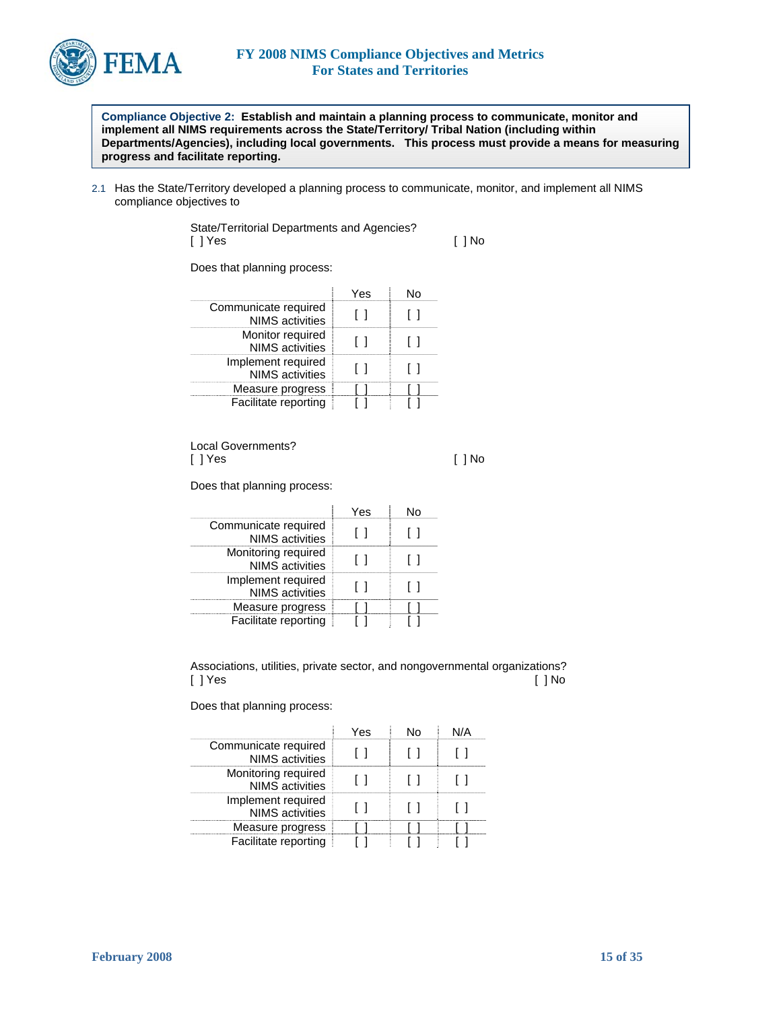

**Compliance Objective 2: Establish and maintain a planning process to communicate, monitor and implement all NIMS requirements across the State/Territory/ Tribal Nation (including within Departments/Agencies), including local governments. This process must provide a means for measuring progress and facilitate reporting.** 

2.1 Has the State/Territory developed a planning process to communicate, monitor, and implement all NIMS compliance objectives to

> State/Territorial Departments and Agencies? [ ] Yes [ ] No

Does that planning process:

| Communicate required<br><b>NIMS</b> activities |  |
|------------------------------------------------|--|
| Monitor required<br><b>NIMS</b> activities     |  |
| Implement required<br><b>NIMS</b> activities   |  |
| Measure progress                               |  |
| Facilitate reporting                           |  |

Local Governments? [ ] Yes [ ] No

Does that planning process:

| Communicate required<br><b>NIMS</b> activities |  |
|------------------------------------------------|--|
| Monitoring required<br><b>NIMS</b> activities  |  |
| Implement required<br><b>NIMS</b> activities   |  |
| Measure progress                               |  |
| Facilitate reporting                           |  |

Associations, utilities, private sector, and nongovernmental organizations? [ ] Yes [ ] No

Does that planning process:

|                                                | Yes |  |
|------------------------------------------------|-----|--|
| Communicate required<br><b>NIMS</b> activities |     |  |
| Monitoring required<br><b>NIMS</b> activities  |     |  |
| Implement required<br><b>NIMS</b> activities   |     |  |
| Measure progress                               |     |  |
| Facilitate reporting                           |     |  |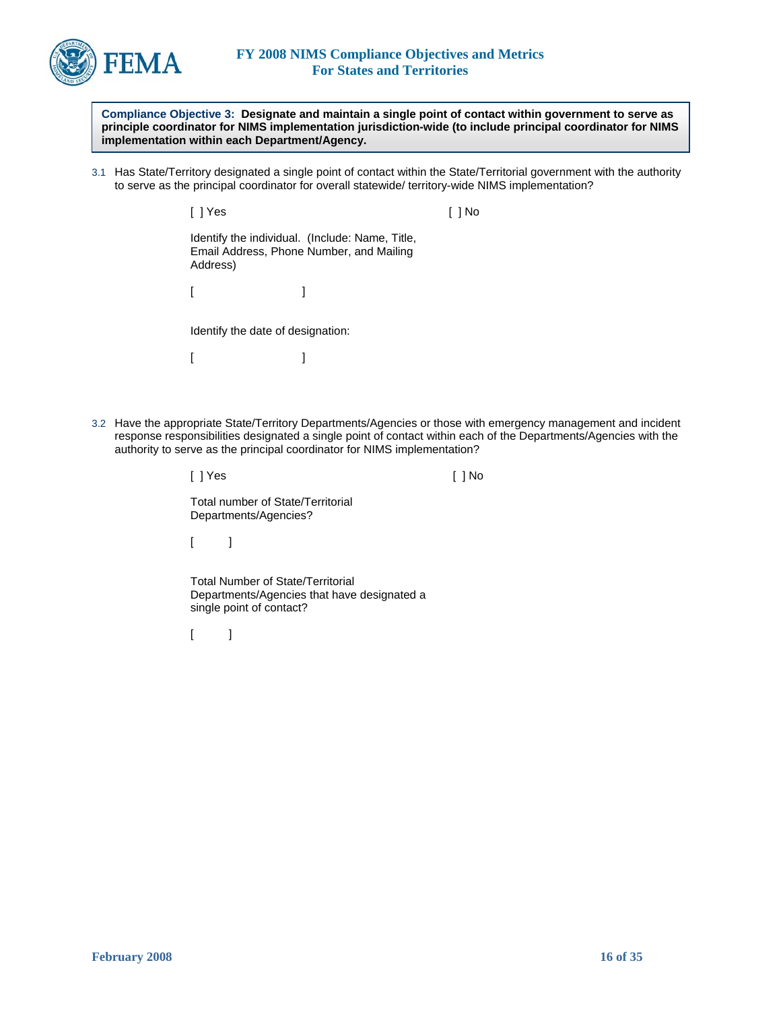

**Compliance Objective 3: Designate and maintain a single point of contact within government to serve as principle coordinator for NIMS implementation jurisdiction-wide (to include principal coordinator for NIMS implementation within each Department/Agency.** 

3.1 Has State/Territory designated a single point of contact within the State/Territorial government with the authority to serve as the principal coordinator for overall statewide/ territory-wide NIMS implementation?

| 「I Yes   |                                                                                             |  |
|----------|---------------------------------------------------------------------------------------------|--|
| Address) | Identify the individual. (Include: Name, Title,<br>Email Address, Phone Number, and Mailing |  |
|          |                                                                                             |  |
|          | Identify the date of designation:                                                           |  |

 $[$   $]$ 

3.2 Have the appropriate State/Territory Departments/Agencies or those with emergency management and incident response responsibilities designated a single point of contact within each of the Departments/Agencies with the authority to serve as the principal coordinator for NIMS implementation?

| 「I Yes                                                                                                       |  |
|--------------------------------------------------------------------------------------------------------------|--|
| Total number of State/Territorial<br>Departments/Agencies?                                                   |  |
|                                                                                                              |  |
| Total Number of State/Territorial<br>Departments/Agencies that have designated a<br>single point of contact? |  |
|                                                                                                              |  |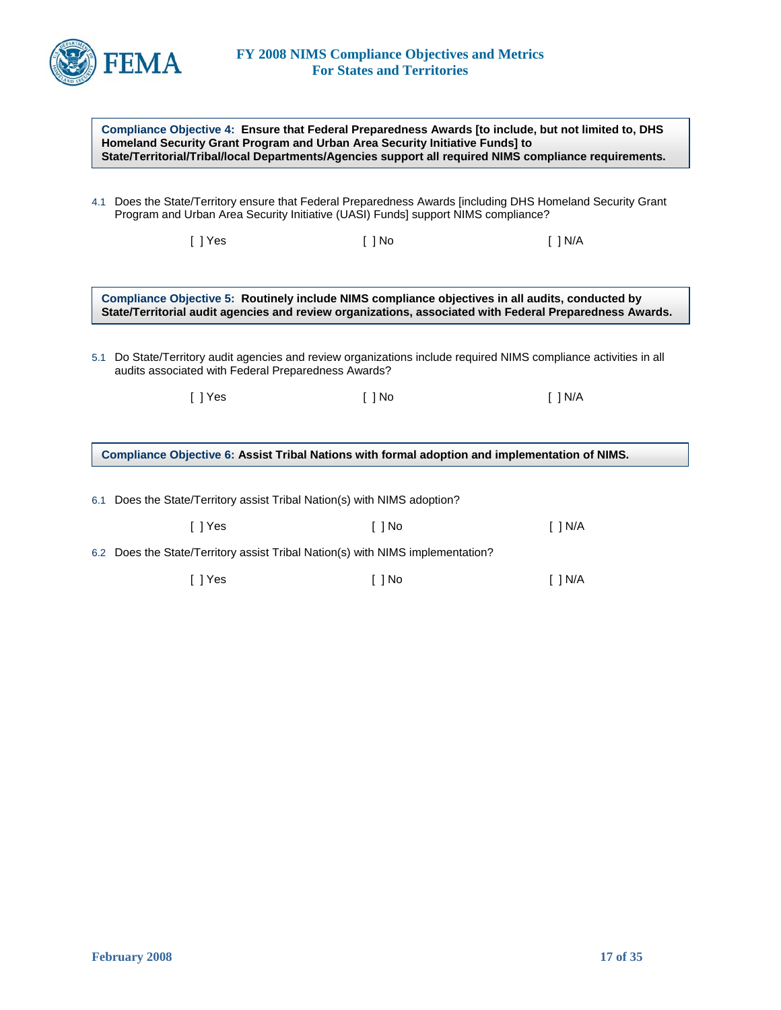

|     | Compliance Objective 4: Ensure that Federal Preparedness Awards [to include, but not limited to, DHS<br>Homeland Security Grant Program and Urban Area Security Initiative Funds] to<br>State/Territorial/Tribal/local Departments/Agencies support all required NIMS compliance requirements. |                       |                                                                                                         |  |  |  |
|-----|------------------------------------------------------------------------------------------------------------------------------------------------------------------------------------------------------------------------------------------------------------------------------------------------|-----------------------|---------------------------------------------------------------------------------------------------------|--|--|--|
|     | 4.1 Does the State/Territory ensure that Federal Preparedness Awards [including DHS Homeland Security Grant<br>Program and Urban Area Security Initiative (UASI) Funds] support NIMS compliance?                                                                                               |                       |                                                                                                         |  |  |  |
|     | $\lceil \ \rceil$ Yes                                                                                                                                                                                                                                                                          | $\lceil \; \rceil$ No | $\lceil$ $\rceil$ N/A                                                                                   |  |  |  |
|     |                                                                                                                                                                                                                                                                                                |                       |                                                                                                         |  |  |  |
|     | Compliance Objective 5: Routinely include NIMS compliance objectives in all audits, conducted by                                                                                                                                                                                               |                       | State/Territorial audit agencies and review organizations, associated with Federal Preparedness Awards. |  |  |  |
|     | 5.1 Do State/Territory audit agencies and review organizations include required NIMS compliance activities in all<br>audits associated with Federal Preparedness Awards?                                                                                                                       |                       |                                                                                                         |  |  |  |
|     | [ ] Yes                                                                                                                                                                                                                                                                                        | $\lceil \; \rceil$ No | $\lceil$ $\rceil$ N/A                                                                                   |  |  |  |
|     |                                                                                                                                                                                                                                                                                                |                       |                                                                                                         |  |  |  |
|     | Compliance Objective 6: Assist Tribal Nations with formal adoption and implementation of NIMS.                                                                                                                                                                                                 |                       |                                                                                                         |  |  |  |
| 6.1 | Does the State/Territory assist Tribal Nation(s) with NIMS adoption?                                                                                                                                                                                                                           |                       |                                                                                                         |  |  |  |
|     | [ ] Yes                                                                                                                                                                                                                                                                                        | $[ ]$ No              | $\lceil$ $\rceil$ N/A                                                                                   |  |  |  |
|     | 6.2 Does the State/Territory assist Tribal Nation(s) with NIMS implementation?                                                                                                                                                                                                                 |                       |                                                                                                         |  |  |  |
|     | [ ] Yes                                                                                                                                                                                                                                                                                        | [ ] No                | $[$ $]$ N/A                                                                                             |  |  |  |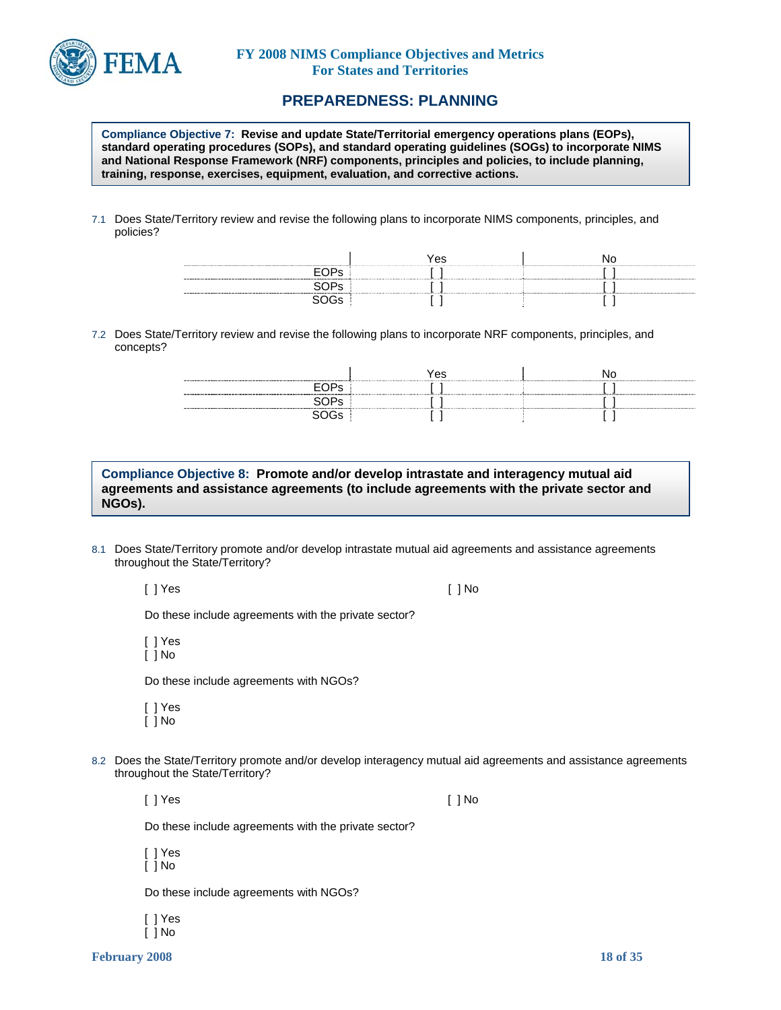

## **PREPAREDNESS: PLANNING**

**Compliance Objective 7: Revise and update State/Territorial emergency operations plans (EOPs), standard operating procedures (SOPs), and standard operating guidelines (SOGs) to incorporate NIMS and National Response Framework (NRF) components, principles and policies, to include planning, training, response, exercises, equipment, evaluation, and corrective actions.**

7.1 Does State/Territory review and revise the following plans to incorporate NIMS components, principles, and policies?

| <br>------------------ | Yes |           |
|------------------------|-----|-----------|
|                        |     | --------- |
|                        |     |           |
|                        |     |           |

7.2 Does State/Territory review and revise the following plans to incorporate NRF components, principles, and concepts?

|                             | Yes | Nr |  |
|-----------------------------|-----|----|--|
| <b>FOPs</b>                 |     |    |  |
| SOPs<br>------------------- |     |    |  |
| ിട്ട                        |     |    |  |

### **Compliance Objective 8: Promote and/or develop intrastate and interagency mutual aid agreements and assistance agreements (to include agreements with the private sector and NGOs).**

8.1 Does State/Territory promote and/or develop intrastate mutual aid agreements and assistance agreements throughout the State/Territory?

[ ] Yes [ ] No

Do these include agreements with the private sector?

[ ] Yes  $\overline{[}$   $\overline{]}$  No

Do these include agreements with NGOs?

[ ] Yes [ ] No

8.2 Does the State/Territory promote and/or develop interagency mutual aid agreements and assistance agreements throughout the State/Territory?

[ ] Yes [ ] No

Do these include agreements with the private sector?

[ ] Yes [ ] No

Do these include agreements with NGOs?

[ ] Yes [ ] No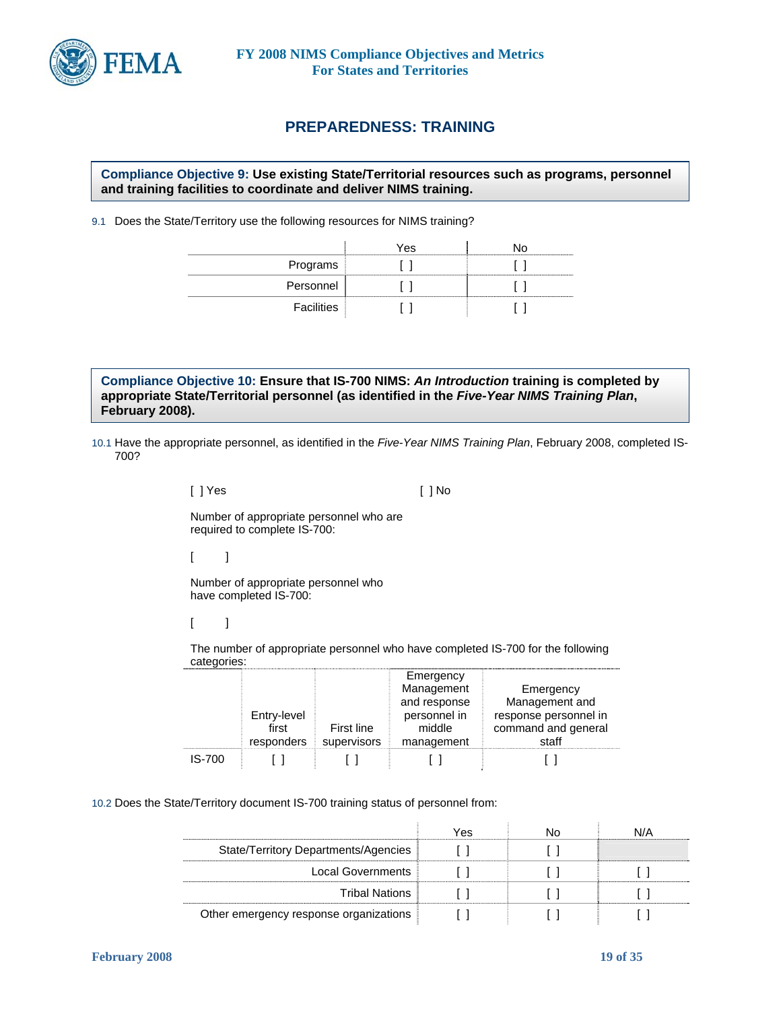

## **PREPAREDNESS: TRAINING**

**Compliance Objective 9: Use existing State/Territorial resources such as programs, personnel and training facilities to coordinate and deliver NIMS training.**

9.1 Does the State/Territory use the following resources for NIMS training?

|                   | Yes | мn |
|-------------------|-----|----|
| Programs          |     |    |
| Personnel         |     |    |
| <b>Facilities</b> |     |    |

**Compliance Objective 10: Ensure that IS-700 NIMS:** *An Introduction* **training is completed by appropriate State/Territorial personnel (as identified in the** *Five-Year NIMS Training Plan***, February 2008).** 

10.1 Have the appropriate personnel, as identified in the *Five-Year NIMS Training Plan*, February 2008, completed IS-700?

[ ] Yes [ ] No

Number of appropriate personnel who are required to complete IS-700:

 $\lceil$   $\lceil$ 

Number of appropriate personnel who have completed IS-700:

 $[$   $]$ 

The number of appropriate personnel who have completed IS-700 for the following categories:

|        | Entry-level<br>first<br>responders | First line<br>supervisors | Emergency<br>Management<br>and response<br>personnel in<br>middle<br>management | Emergency<br>Management and<br>response personnel in<br>command and general<br>staff |
|--------|------------------------------------|---------------------------|---------------------------------------------------------------------------------|--------------------------------------------------------------------------------------|
| IS-700 |                                    |                           |                                                                                 |                                                                                      |

10.2 Does the State/Territory document IS-700 training status of personnel from:

|                                        | Yes |  |
|----------------------------------------|-----|--|
| State/Territory Departments/Agencies   |     |  |
| <b>Local Governments</b>               |     |  |
| <b>Tribal Nations</b>                  |     |  |
| Other emergency response organizations |     |  |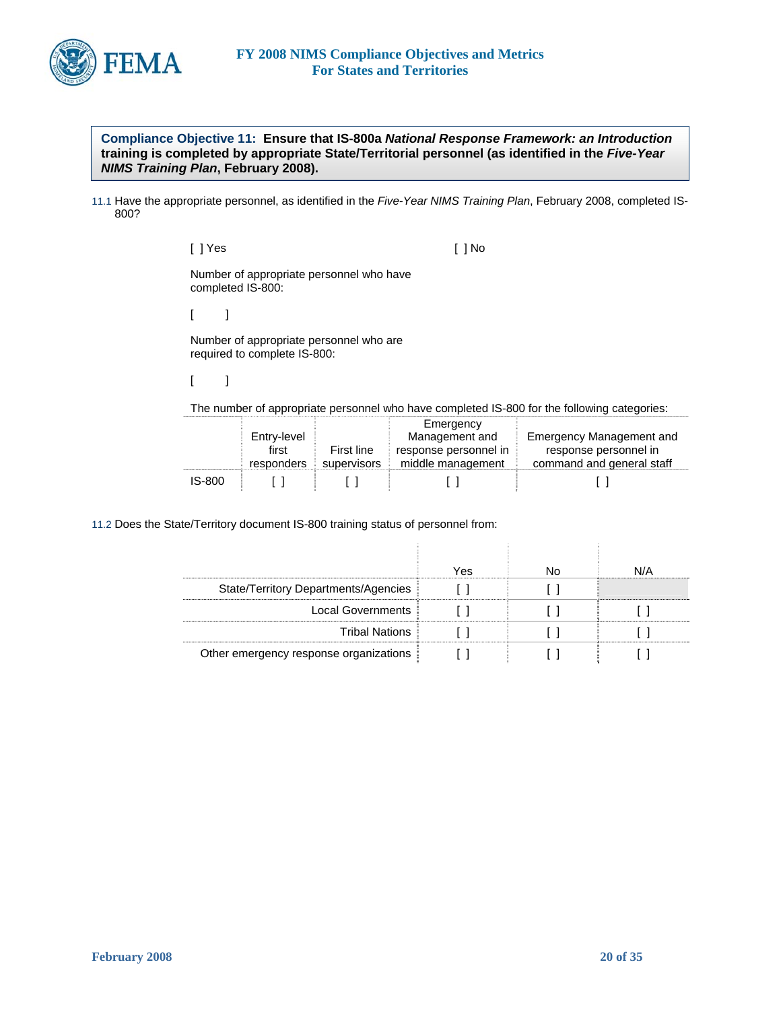

**Compliance Objective 11: Ensure that IS-800a** *National Response Framework: an Introduction* **training is completed by appropriate State/Territorial personnel (as identified in the** *Five-Year NIMS Training Plan***, February 2008).** 

11.1 Have the appropriate personnel, as identified in the *Five-Year NIMS Training Plan*, February 2008, completed IS-800?

[ ] Yes [ ] No

Number of appropriate personnel who have completed IS-800:

 $[$   $]$ 

Number of appropriate personnel who are required to complete IS-800:

 $[$  ]

The number of appropriate personnel who have completed IS-800 for the following categories:

|               |             |             | Emergency             |                                 |
|---------------|-------------|-------------|-----------------------|---------------------------------|
|               | Entry-level |             | Management and        | <b>Emergency Management and</b> |
|               | first       | First line  | response personnel in | response personnel in           |
|               | responders  | supervisors | middle management     | command and general staff       |
| <b>IS-800</b> |             |             |                       |                                 |

11.2 Does the State/Territory document IS-800 training status of personnel from:

|                                        | Yes | N۵ |  |
|----------------------------------------|-----|----|--|
| State/Territory Departments/Agencies   |     |    |  |
| <b>Local Governments</b>               |     |    |  |
| <b>Tribal Nations</b>                  |     |    |  |
| Other emergency response organizations |     |    |  |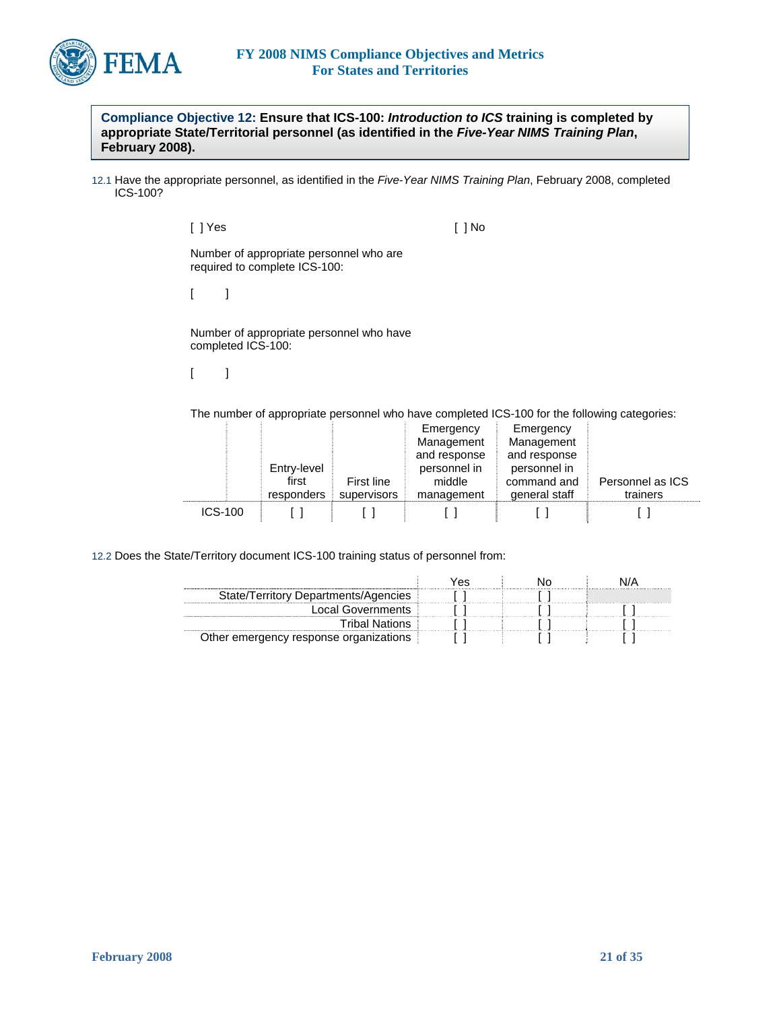

**Compliance Objective 12: Ensure that ICS-100:** *Introduction to ICS* **training is completed by appropriate State/Territorial personnel (as identified in the** *Five-Year NIMS Training Plan***, February 2008).** 

12.1 Have the appropriate personnel, as identified in the *Five-Year NIMS Training Plan*, February 2008, completed ICS-100?

| [ ] Yes                                                                  |  |
|--------------------------------------------------------------------------|--|
| Number of appropriate personnel who are<br>required to complete ICS-100: |  |
| - F                                                                      |  |
| Number of appropriate personnel who have<br>completed ICS-100:           |  |

 $[$   $]$ 

The number of appropriate personnel who have completed ICS-100 for the following categories:

|                |             |             | Emergency<br>Management | Emergency<br>Management |                  |
|----------------|-------------|-------------|-------------------------|-------------------------|------------------|
|                |             |             | and response            | and response            |                  |
|                | Entry-level |             | personnel in            | personnel in            |                  |
|                | first       | First line  | middle                  | command and             | Personnel as ICS |
|                | responders  | supervisors | management              | general staff           | trainers         |
| <b>ICS-100</b> |             |             |                         |                         |                  |

12.2 Does the State/Territory document ICS-100 training status of personnel from:

|                                        | Yes |  |
|----------------------------------------|-----|--|
| State/Territory Departments/Agencies   |     |  |
| ∟ocal Governments_                     |     |  |
| <b>Fribal Nations</b>                  |     |  |
| Other emergency response organizations |     |  |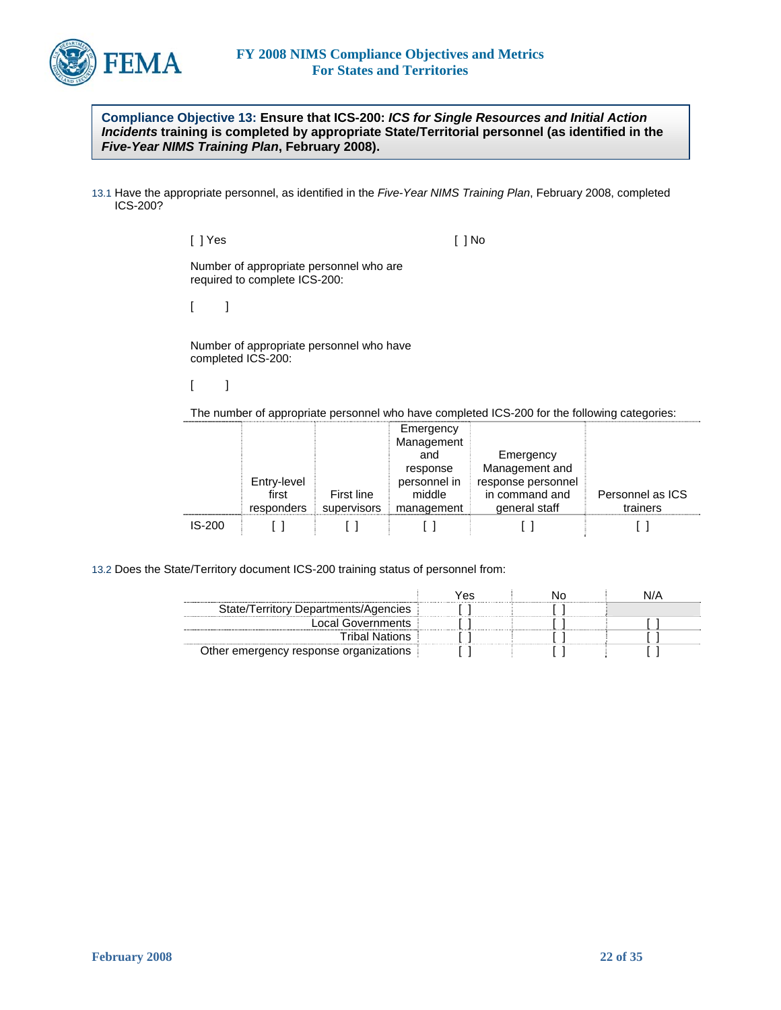

**Compliance Objective 13: Ensure that ICS-200:** *ICS for Single Resources and Initial Action Incidents* **training is completed by appropriate State/Territorial personnel (as identified in the**  *Five-Year NIMS Training Plan***, February 2008).** 

13.1 Have the appropriate personnel, as identified in the *Five-Year NIMS Training Plan*, February 2008, completed ICS-200?

[ ] Yes [ ] No

Number of appropriate personnel who are required to complete ICS-200:

 $[$  ]

Number of appropriate personnel who have completed ICS-200:

 $[$   $]$ 

The number of appropriate personnel who have completed ICS-200 for the following categories:

|          |             |             | Emergency    |                    |                  |
|----------|-------------|-------------|--------------|--------------------|------------------|
|          |             |             | Management   |                    |                  |
|          |             |             | and          | Emergency          |                  |
|          |             |             | response     | Management and     |                  |
|          | Entry-level |             | personnel in | response personnel |                  |
|          | first       | First line  | middle       | in command and     | Personnel as ICS |
|          | responders  | supervisors | management   | general staff      | trainers         |
| $IS-200$ |             |             |              |                    |                  |

13.2 Does the State/Territory document ICS-200 training status of personnel from:

|                                        | $\epsilon$ |  |
|----------------------------------------|------------|--|
| State/Territory Departments/Agencies   |            |  |
| ∟ocal Governments                      |            |  |
| ribal Nations.                         |            |  |
| Other emergency response organizations |            |  |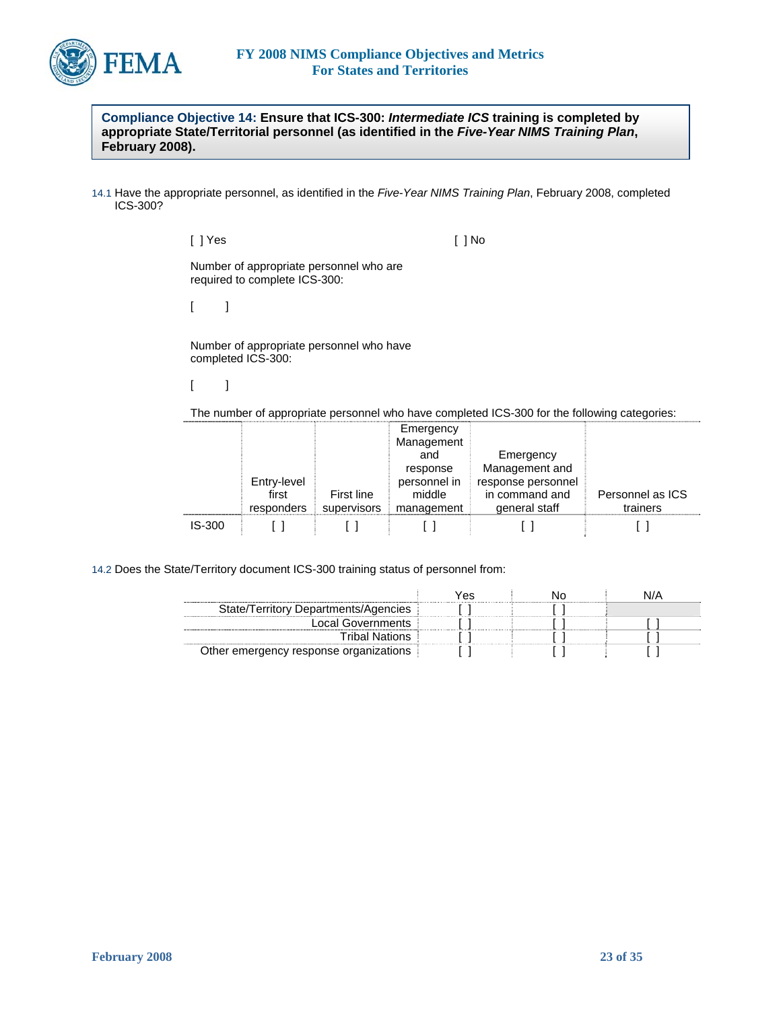

**Compliance Objective 14: Ensure that ICS-300:** *Intermediate ICS* **training is completed by appropriate State/Territorial personnel (as identified in the** *Five-Year NIMS Training Plan***, February 2008).** 

14.1 Have the appropriate personnel, as identified in the *Five-Year NIMS Training Plan*, February 2008, completed ICS-300?

[ ] Yes [ ] No

Number of appropriate personnel who are required to complete ICS-300:

 $[$  ]

Number of appropriate personnel who have completed ICS-300:

 $[$   $]$ 

The number of appropriate personnel who have completed ICS-300 for the following categories:

|               |             |             | Emergency    |                    |                  |
|---------------|-------------|-------------|--------------|--------------------|------------------|
|               |             |             | Management   |                    |                  |
|               |             |             | and          | Emergency          |                  |
|               |             |             | response     | Management and     |                  |
|               | Entry-level |             | personnel in | response personnel |                  |
|               | first       | First line  | middle       | in command and     | Personnel as ICS |
|               | responders  | supervisors | management   | general staff      | trainers         |
| <b>IS-300</b> |             |             |              |                    |                  |

14.2 Does the State/Territory document ICS-300 training status of personnel from:

|                                        | $\epsilon$ |  |
|----------------------------------------|------------|--|
| State/Territory Departments/Agencies   |            |  |
| ∟ocal Governments                      |            |  |
| ribal Nations.                         |            |  |
| Other emergency response organizations |            |  |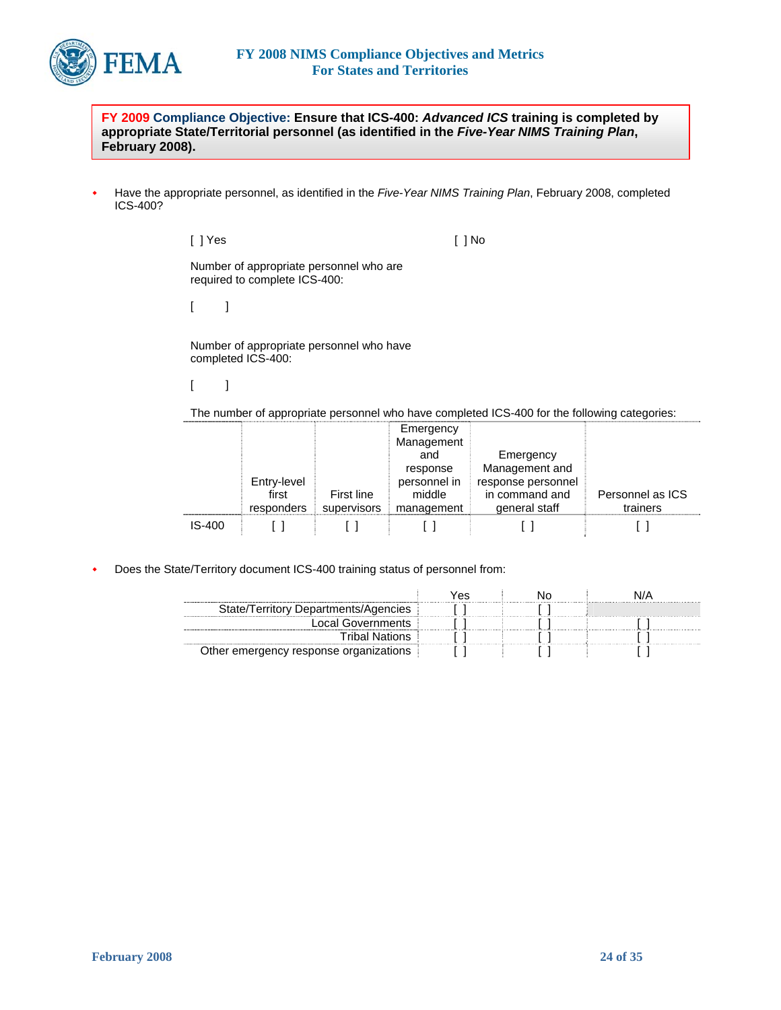

**FY 2009 Compliance Objective: Ensure that ICS-400:** *Advanced ICS* **training is completed by appropriate State/Territorial personnel (as identified in the** *Five-Year NIMS Training Plan***, February 2008).** 

 Have the appropriate personnel, as identified in the *Five-Year NIMS Training Plan*, February 2008, completed ICS-400?

[ ] Yes [ ] No

Number of appropriate personnel who are required to complete ICS-400:

 $[$  ]

Number of appropriate personnel who have completed ICS-400:

 $[$   $]$ 

The number of appropriate personnel who have completed ICS-400 for the following categories:

|          |             |             | Emergency    |                    |                  |
|----------|-------------|-------------|--------------|--------------------|------------------|
|          |             |             | Management   |                    |                  |
|          |             |             | and          | Emergency          |                  |
|          |             |             | response     | Management and     |                  |
|          | Entry-level |             | personnel in | response personnel |                  |
|          | first       | First line  | middle       | in command and     | Personnel as ICS |
|          | responders  | supervisors | management   | general staff      | trainers         |
| $IS-400$ |             |             |              |                    |                  |

Does the State/Territory document ICS-400 training status of personnel from:

|                                        | ∕es |  |
|----------------------------------------|-----|--|
| State/Territory Departments/Agencies   |     |  |
| Local Governments                      |     |  |
| ribal Nations                          |     |  |
| Other emergency response organizations |     |  |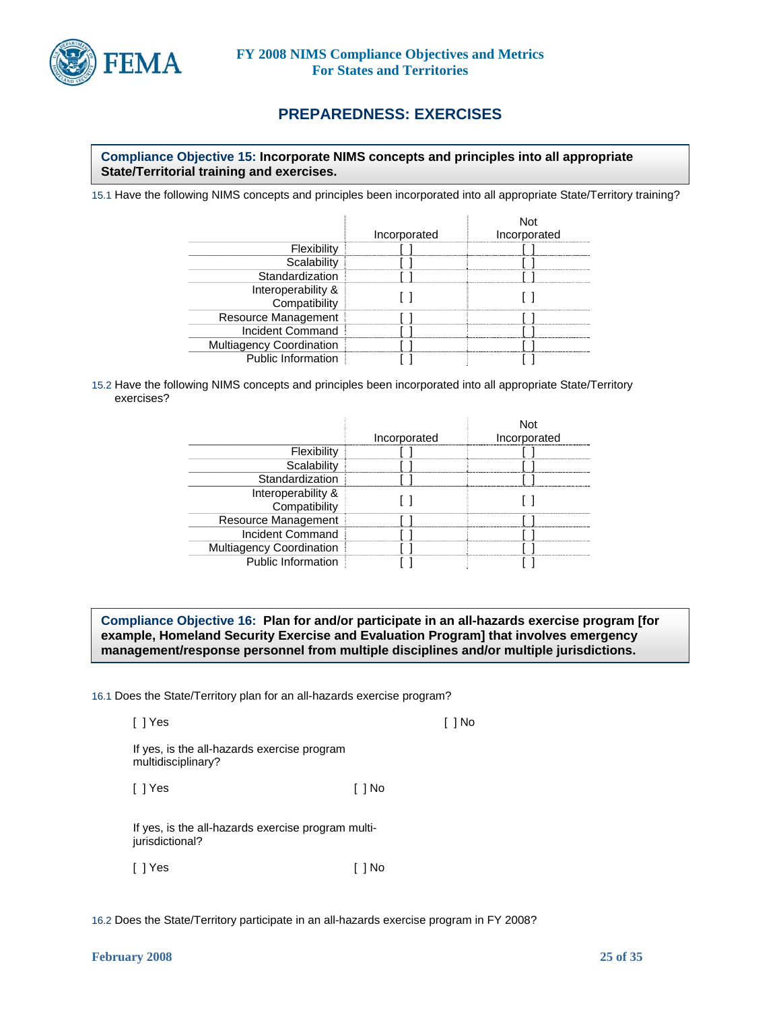

## **PREPAREDNESS: EXERCISES**

### **Compliance Objective 15: Incorporate NIMS concepts and principles into all appropriate State/Territorial training and exercises.**

15.1 Have the following NIMS concepts and principles been incorporated into all appropriate State/Territory training?

|                                 |              | Not          |
|---------------------------------|--------------|--------------|
|                                 | Incorporated | Incorporated |
| Flexibility                     |              |              |
| Scalability                     |              |              |
| Standardization                 |              |              |
| Interoperability &              |              |              |
| Compatibility                   |              |              |
| Resource Management             |              |              |
| Incident Command                |              |              |
| <b>Multiagency Coordination</b> |              |              |
| Public Information              |              |              |

15.2 Have the following NIMS concepts and principles been incorporated into all appropriate State/Territory exercises?

|                                 | Incorporated | Incorporated |
|---------------------------------|--------------|--------------|
| Flexibility                     |              |              |
| Scalability                     |              |              |
| Standardization                 |              |              |
| Interoperability &              |              |              |
| Compatibility                   |              |              |
| Resource Management             |              |              |
| Incident Command                |              |              |
| <b>Multiagency Coordination</b> |              |              |
| Public Information              |              |              |
|                                 |              |              |

**Compliance Objective 16: Plan for and/or participate in an all-hazards exercise program [for example, Homeland Security Exercise and Evaluation Program] that involves emergency management/response personnel from multiple disciplines and/or multiple jurisdictions.** 

16.1 Does the State/Territory plan for an all-hazards exercise program?

[ ] No

If yes, is the all-hazards exercise program multidisciplinary?

[ ] Yes [ ] No

If yes, is the all-hazards exercise program multijurisdictional?

[ ] Yes [ ] No

16.2 Does the State/Territory participate in an all-hazards exercise program in FY 2008?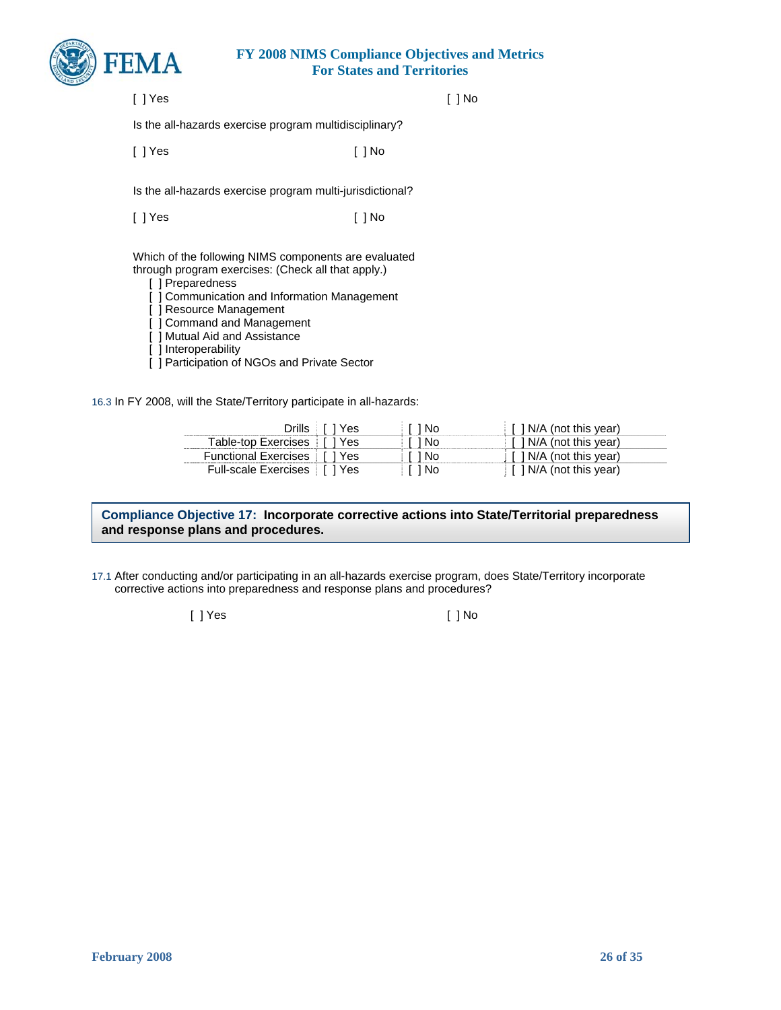

| [ ] Yes                                                                                                                                                                  |        | 1 No |
|--------------------------------------------------------------------------------------------------------------------------------------------------------------------------|--------|------|
| Is the all-hazards exercise program multidisciplinary?                                                                                                                   |        |      |
| [ ] Yes                                                                                                                                                                  | [ ] No |      |
| Is the all-hazards exercise program multi-jurisdictional?<br>[ ] Yes                                                                                                     | [ ] No |      |
| Which of the following NIMS components are evaluated<br>through program exercises: (Check all that apply.)<br>1 Preparedness<br>Communication and Information Management |        |      |

- [ ] Resource Management
- [ ] Command and Management
- [ ] Mutual Aid and Assistance
- [ ] Interoperability
- [ ] Participation of NGOs and Private Sector

16.3 In FY 2008, will the State/Territory participate in all-hazards:

| ⊃rills<br>Yes                      |      | 1 N/A (not this vear)                 |
|------------------------------------|------|---------------------------------------|
| Table-top Exercises<br>Yes         | . No | TN/A (not this year)                  |
| <b>Functional Exercises</b><br>Yes | -No  | [ ] N/A (not this vear)               |
| <b>Full-scale Exercises</b><br>Yes | 1 No | $\lceil$ $\lceil$ N/A (not this year) |

### **Compliance Objective 17: Incorporate corrective actions into State/Territorial preparedness and response plans and procedures.**

17.1 After conducting and/or participating in an all-hazards exercise program, does State/Territory incorporate corrective actions into preparedness and response plans and procedures?

### [ ] Yes [ ] No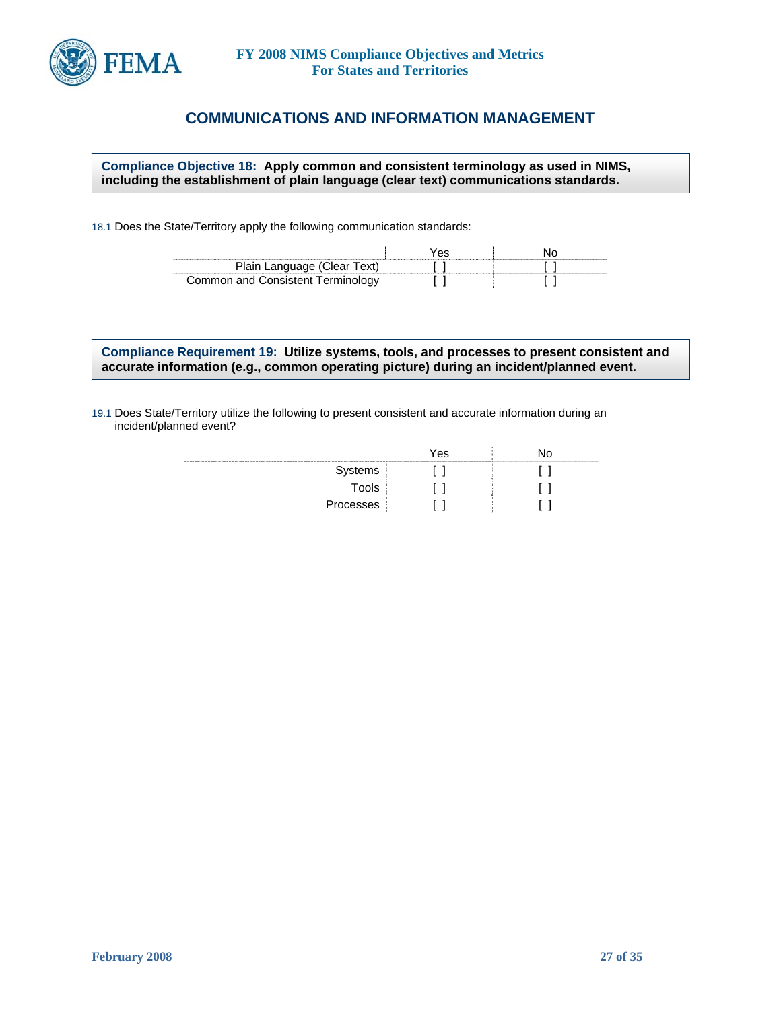

## **COMMUNICATIONS AND INFORMATION MANAGEMENT**

**Compliance Objective 18: Apply common and consistent terminology as used in NIMS, including the establishment of plain language (clear text) communications standards.** 

18.1 Does the State/Territory apply the following communication standards:

|                                | es |  |
|--------------------------------|----|--|
| Гехt)<br>.anguage (Clear ī     |    |  |
| Common and Consistent Terminol |    |  |

**Compliance Requirement 19: Utilize systems, tools, and processes to present consistent and accurate information (e.g., common operating picture) during an incident/planned event.** 

19.1 Does State/Territory utilize the following to present consistent and accurate information during an incident/planned event?

| --------------------- | Yes                           |  |
|-----------------------|-------------------------------|--|
| /stems                |                               |  |
| ∍ו∩ר                  | ----------------------------- |  |
| <b>Processes</b>      |                               |  |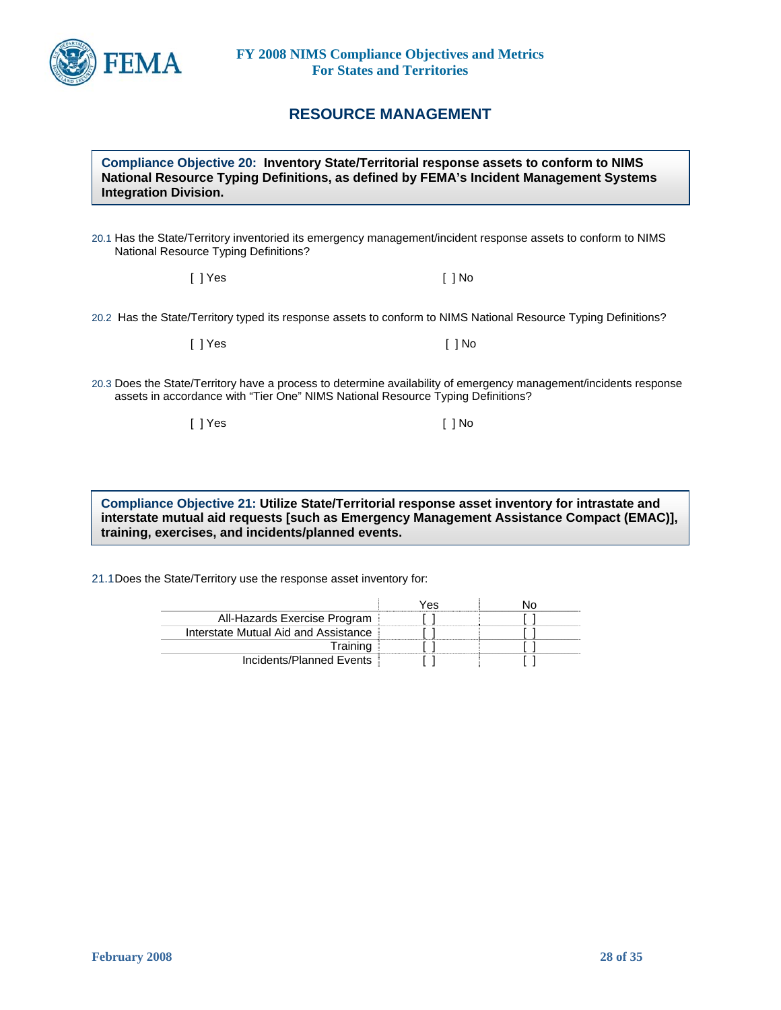

## **RESOURCE MANAGEMENT**

**Compliance Objective 20: Inventory State/Territorial response assets to conform to NIMS National Resource Typing Definitions, as defined by FEMA's Incident Management Systems Integration Division.**  20.1 Has the State/Territory inventoried its emergency management/incident response assets to conform to NIMS National Resource Typing Definitions? [ ] Yes [ ] No 20.2 Has the State/Territory typed its response assets to conform to NIMS National Resource Typing Definitions? [ ] Yes [ ] No 20.3 Does the State/Territory have a process to determine availability of emergency management/incidents response assets in accordance with "Tier One" NIMS National Resource Typing Definitions?

[ ] Yes [ ] No

**Compliance Objective 21: Utilize State/Territorial response asset inventory for intrastate and interstate mutual aid requests [such as Emergency Management Assistance Compact (EMAC)], training, exercises, and incidents/planned events.** 

21.1 Does the State/Territory use the response asset inventory for:

|                                      | Yes | חע |
|--------------------------------------|-----|----|
| All-Hazards Exercise Program         |     |    |
| Interstate Mutual Aid and Assistance |     |    |
| Training                             |     |    |
| Incidents/Planned Events             |     |    |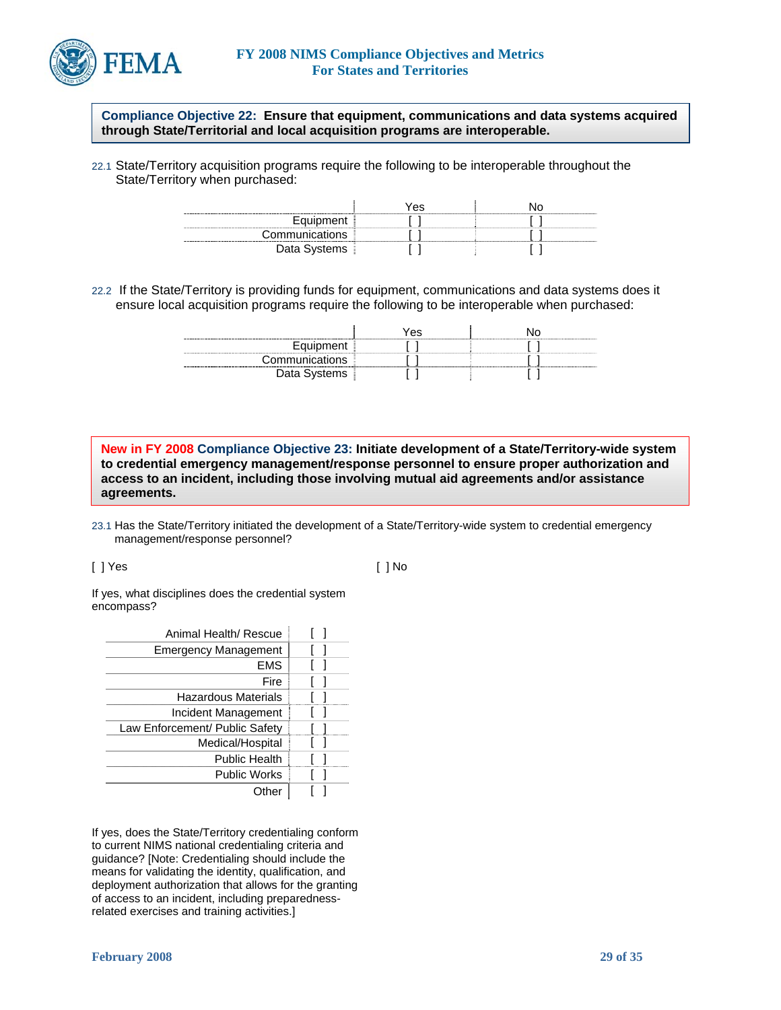

**Compliance Objective 22: Ensure that equipment, communications and data systems acquired through State/Territorial and local acquisition programs are interoperable.** 

22.1 State/Territory acquisition programs require the following to be interoperable throughout the State/Territory when purchased:

|                | Yes |  |
|----------------|-----|--|
| Equipment      |     |  |
| Communications |     |  |
| Data Systems   |     |  |

22.2 If the State/Territory is providing funds for equipment, communications and data systems does it ensure local acquisition programs require the following to be interoperable when purchased:

|                | Yes |  |
|----------------|-----|--|
| Equipment      |     |  |
| Communications |     |  |
| Data Systems   |     |  |

**New in FY 2008 Compliance Objective 23: Initiate development of a State/Territory-wide system to credential emergency management/response personnel to ensure proper authorization and access to an incident, including those involving mutual aid agreements and/or assistance agreements.** 

23.1 Has the State/Territory initiated the development of a State/Territory-wide system to credential emergency management/response personnel?

[ ] Yes [ ] No

If yes, what disciplines does the credential system encompass?

| Animal Health/ Rescue          |  |
|--------------------------------|--|
| <b>Emergency Management</b>    |  |
| <b>FMS</b>                     |  |
| Fire                           |  |
| Hazardous Materials            |  |
| Incident Management            |  |
| Law Enforcement/ Public Safety |  |
| Medical/Hospital               |  |
| Public Health                  |  |
| <b>Public Works</b>            |  |
| ∩ther                          |  |

If yes, does the State/Territory credentialing conform to current NIMS national credentialing criteria and guidance? [Note: Credentialing should include the means for validating the identity, qualification, and deployment authorization that allows for the granting of access to an incident, including preparednessrelated exercises and training activities.]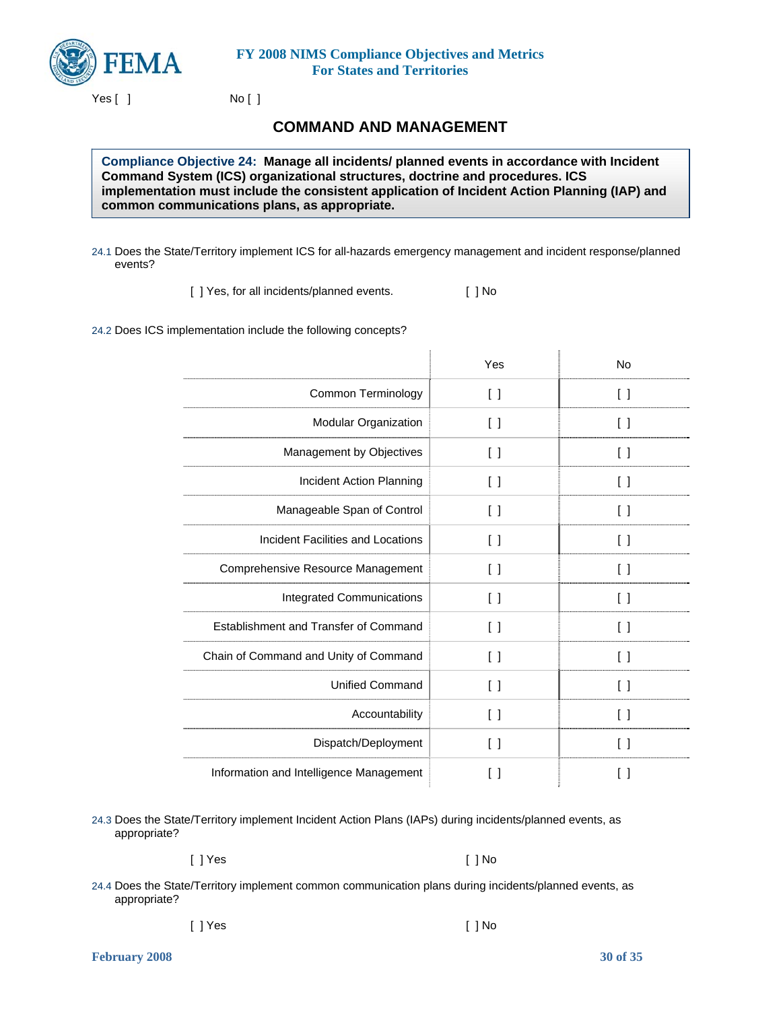

## **COMMAND AND MANAGEMENT**

**Compliance Objective 24: Manage all incidents/ planned events in accordance with Incident Command System (ICS) organizational structures, doctrine and procedures. ICS implementation must include the consistent application of Incident Action Planning (IAP) and common communications plans, as appropriate.** 

24.1 Does the State/Territory implement ICS for all-hazards emergency management and incident response/planned events?

[ ] Yes, for all incidents/planned events. [ ] No

24.2 Does ICS implementation include the following concepts?

|                                         | Yes                                           | <b>No</b>                                     |
|-----------------------------------------|-----------------------------------------------|-----------------------------------------------|
| Common Terminology                      | $\left[ \begin{array}{c} \end{array} \right]$ | $\begin{bmatrix} \end{bmatrix}$               |
| Modular Organization                    | $\left[ \ \right]$                            | $\begin{bmatrix} \end{bmatrix}$               |
| Management by Objectives                | $\left[ \ \right]$                            | $\begin{bmatrix} \end{bmatrix}$               |
| Incident Action Planning                | $\left[ \ \right]$                            | $\begin{bmatrix} \end{bmatrix}$               |
| Manageable Span of Control              | I l                                           | $\begin{smallmatrix} \end{smallmatrix}$       |
| Incident Facilities and Locations       | $\left[ \begin{array}{c} \end{array} \right]$ | $\begin{bmatrix} \end{bmatrix}$               |
| Comprehensive Resource Management       | $\left[ \quad \right]$                        | $\left[ \ \right]$                            |
| <b>Integrated Communications</b>        | $\left[ \ \right]$                            | $\left[ \ \right]$                            |
| Establishment and Transfer of Command   | $\left[ \ \right]$                            | $\Box$                                        |
| Chain of Command and Unity of Command   | $\begin{smallmatrix} \end{smallmatrix}$       | $\left[ \quad \right]$                        |
| <b>Unified Command</b>                  | $\left[ \ \right]$                            | $\begin{bmatrix} \end{bmatrix}$               |
| Accountability                          | $\left[ \quad \right]$                        | $\left[ \quad \right]$                        |
| Dispatch/Deployment                     | $\left[ \ \right]$                            | $\begin{bmatrix} \end{bmatrix}$               |
| Information and Intelligence Management | $\left[ \begin{array}{c} \end{array} \right]$ | $\left[ \begin{array}{c} \end{array} \right]$ |

24.3 Does the State/Territory implement Incident Action Plans (IAPs) during incidents/planned events, as appropriate?

[ ] Yes [ ] No

24.4 Does the State/Territory implement common communication plans during incidents/planned events, as appropriate?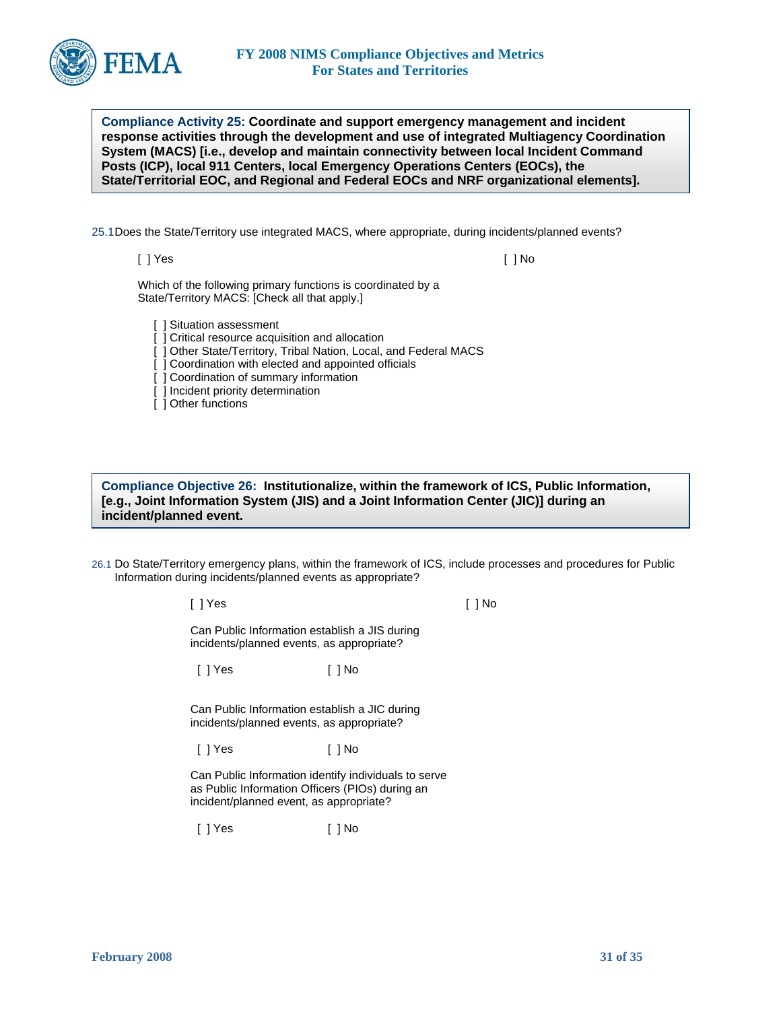

**Compliance Activity 25: Coordinate and support emergency management and incident response activities through the development and use of integrated Multiagency Coordination System (MACS) [i.e., develop and maintain connectivity between local Incident Command Posts (ICP), local 911 Centers, local Emergency Operations Centers (EOCs), the State/Territorial EOC, and Regional and Federal EOCs and NRF organizational elements].** 

25.1 Does the State/Territory use integrated MACS, where appropriate, during incidents/planned events?

[ ] Yes [ ] No

Which of the following primary functions is coordinated by a State/Territory MACS: [Check all that apply.]

[ ] Situation assessment

[ ] Critical resource acquisition and allocation

[ ] Other State/Territory, Tribal Nation, Local, and Federal MACS

[ ] Coordination with elected and appointed officials

[ ] Coordination of summary information

[ ] Incident priority determination

[ ] Other functions

#### **Compliance Objective 26: Institutionalize, within the framework of ICS, Public Information, [e.g., Joint Information System (JIS) and a Joint Information Center (JIC)] during an incident/planned event.**

26.1 Do State/Territory emergency plans, within the framework of ICS, include processes and procedures for Public Information during incidents/planned events as appropriate?

[ ] Yes [ ] No

Can Public Information establish a JIS during incidents/planned events, as appropriate?

[ ] Yes [ ] No

Can Public Information establish a JIC during incidents/planned events, as appropriate?

[ ] Yes [ ] No

Can Public Information identify individuals to serve as Public Information Officers (PIOs) during an incident/planned event, as appropriate?

[ ] Yes [ ] No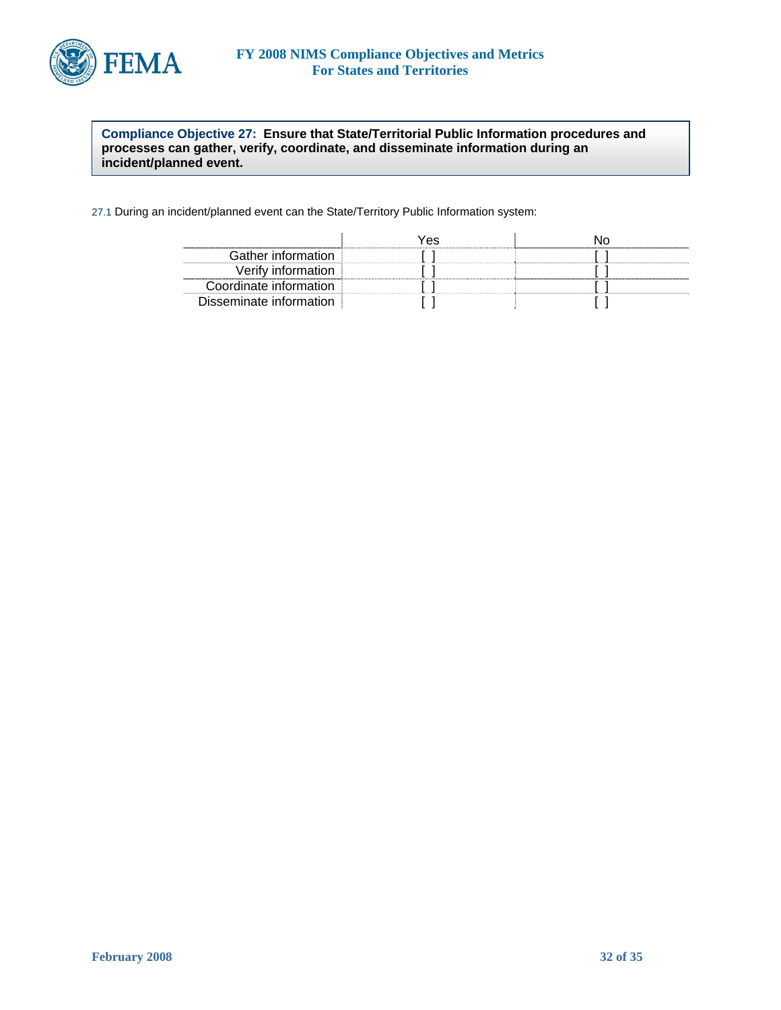

**Compliance Objective 27: Ensure that State/Territorial Public Information procedures and processes can gather, verify, coordinate, and disseminate information during an incident/planned event.** 

27.1 During an incident/planned event can the State/Territory Public Information system:

|                         | es) |  |
|-------------------------|-----|--|
| Gather information      |     |  |
| Verify information      |     |  |
| Coordinate information  |     |  |
| Disseminate information |     |  |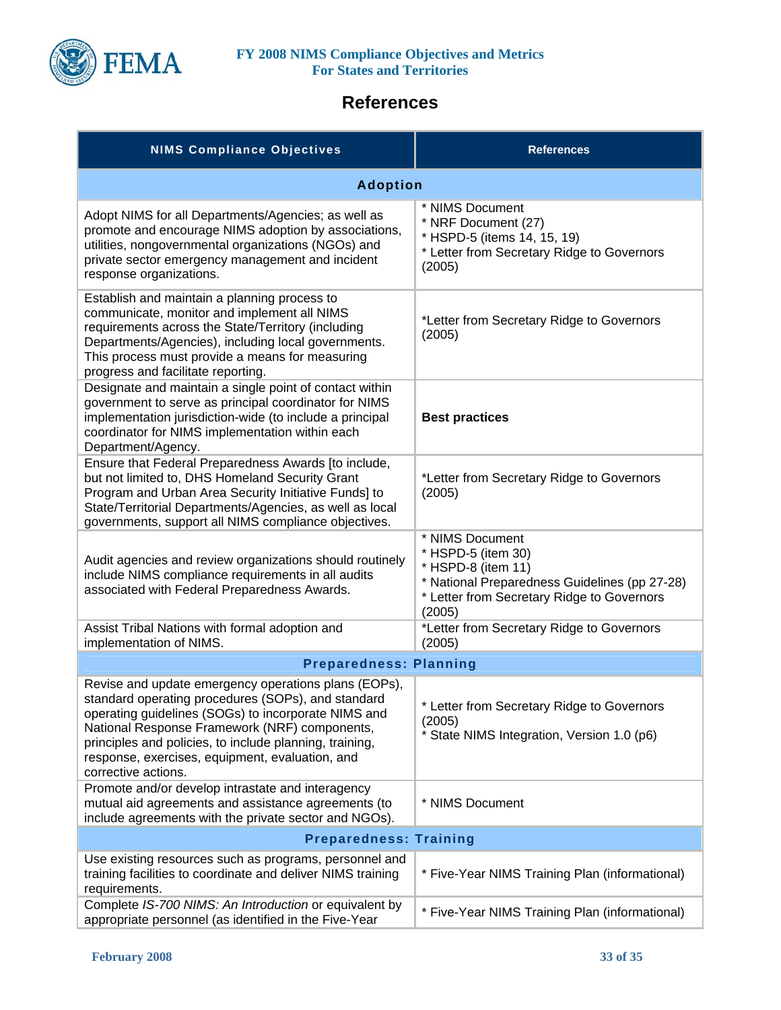

# **References**

| <b>NIMS Compliance Objectives</b>                                                                                                                                                                                                                                                                                                                       | <b>References</b>                                                                                                                                                    |  |  |
|---------------------------------------------------------------------------------------------------------------------------------------------------------------------------------------------------------------------------------------------------------------------------------------------------------------------------------------------------------|----------------------------------------------------------------------------------------------------------------------------------------------------------------------|--|--|
| <b>Adoption</b>                                                                                                                                                                                                                                                                                                                                         |                                                                                                                                                                      |  |  |
| Adopt NIMS for all Departments/Agencies; as well as<br>promote and encourage NIMS adoption by associations,<br>utilities, nongovernmental organizations (NGOs) and<br>private sector emergency management and incident<br>response organizations.                                                                                                       | * NIMS Document<br>* NRF Document (27)<br>* HSPD-5 (items 14, 15, 19)<br>* Letter from Secretary Ridge to Governors<br>(2005)                                        |  |  |
| Establish and maintain a planning process to<br>communicate, monitor and implement all NIMS<br>requirements across the State/Territory (including<br>Departments/Agencies), including local governments.<br>This process must provide a means for measuring<br>progress and facilitate reporting.                                                       | *Letter from Secretary Ridge to Governors<br>(2005)                                                                                                                  |  |  |
| Designate and maintain a single point of contact within<br>government to serve as principal coordinator for NIMS<br>implementation jurisdiction-wide (to include a principal<br>coordinator for NIMS implementation within each<br>Department/Agency.                                                                                                   | <b>Best practices</b>                                                                                                                                                |  |  |
| Ensure that Federal Preparedness Awards [to include,<br>but not limited to, DHS Homeland Security Grant<br>Program and Urban Area Security Initiative Funds] to<br>State/Territorial Departments/Agencies, as well as local<br>governments, support all NIMS compliance objectives.                                                                     | *Letter from Secretary Ridge to Governors<br>(2005)                                                                                                                  |  |  |
| Audit agencies and review organizations should routinely<br>include NIMS compliance requirements in all audits<br>associated with Federal Preparedness Awards.                                                                                                                                                                                          | * NIMS Document<br>* HSPD-5 (item 30)<br>* HSPD-8 (item 11)<br>* National Preparedness Guidelines (pp 27-28)<br>* Letter from Secretary Ridge to Governors<br>(2005) |  |  |
| Assist Tribal Nations with formal adoption and<br>implementation of NIMS.                                                                                                                                                                                                                                                                               | *Letter from Secretary Ridge to Governors<br>(2005)                                                                                                                  |  |  |
| <b>Preparedness: Planning</b>                                                                                                                                                                                                                                                                                                                           |                                                                                                                                                                      |  |  |
| Revise and update emergency operations plans (EOPs),<br>standard operating procedures (SOPs), and standard<br>operating guidelines (SOGs) to incorporate NIMS and<br>National Response Framework (NRF) components,<br>principles and policies, to include planning, training,<br>response, exercises, equipment, evaluation, and<br>corrective actions. | * Letter from Secretary Ridge to Governors<br>(2005)<br>* State NIMS Integration, Version 1.0 (p6)                                                                   |  |  |
| Promote and/or develop intrastate and interagency<br>mutual aid agreements and assistance agreements (to<br>include agreements with the private sector and NGOs).                                                                                                                                                                                       | * NIMS Document                                                                                                                                                      |  |  |
| <b>Preparedness: Training</b>                                                                                                                                                                                                                                                                                                                           |                                                                                                                                                                      |  |  |
| Use existing resources such as programs, personnel and<br>training facilities to coordinate and deliver NIMS training<br>requirements.                                                                                                                                                                                                                  | * Five-Year NIMS Training Plan (informational)                                                                                                                       |  |  |
| Complete IS-700 NIMS: An Introduction or equivalent by<br>appropriate personnel (as identified in the Five-Year                                                                                                                                                                                                                                         | * Five-Year NIMS Training Plan (informational)                                                                                                                       |  |  |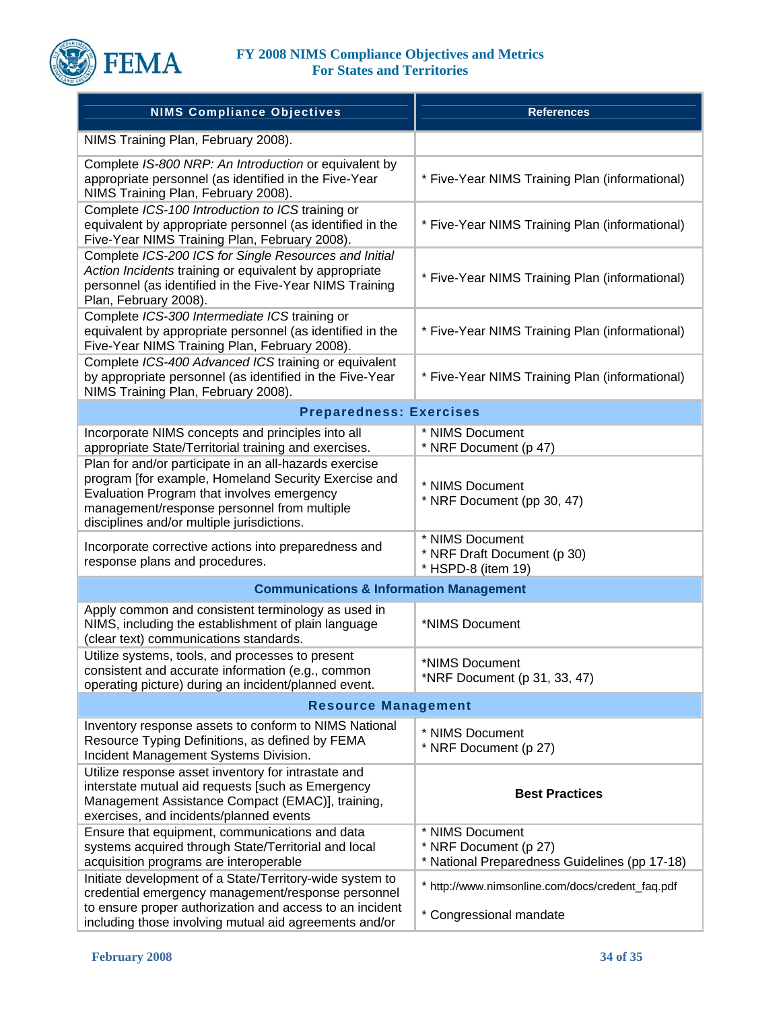

| <b>NIMS Compliance Objectives</b>                                                                                                                                                                                                                         | <b>References</b>                                                                         |  |  |
|-----------------------------------------------------------------------------------------------------------------------------------------------------------------------------------------------------------------------------------------------------------|-------------------------------------------------------------------------------------------|--|--|
| NIMS Training Plan, February 2008).                                                                                                                                                                                                                       |                                                                                           |  |  |
| Complete IS-800 NRP: An Introduction or equivalent by<br>appropriate personnel (as identified in the Five-Year<br>NIMS Training Plan, February 2008).                                                                                                     | * Five-Year NIMS Training Plan (informational)                                            |  |  |
| Complete ICS-100 Introduction to ICS training or<br>equivalent by appropriate personnel (as identified in the<br>Five-Year NIMS Training Plan, February 2008).                                                                                            | * Five-Year NIMS Training Plan (informational)                                            |  |  |
| Complete ICS-200 ICS for Single Resources and Initial<br>Action Incidents training or equivalent by appropriate<br>personnel (as identified in the Five-Year NIMS Training<br>Plan, February 2008).                                                       | * Five-Year NIMS Training Plan (informational)                                            |  |  |
| Complete ICS-300 Intermediate ICS training or<br>equivalent by appropriate personnel (as identified in the<br>Five-Year NIMS Training Plan, February 2008).                                                                                               | * Five-Year NIMS Training Plan (informational)                                            |  |  |
| Complete ICS-400 Advanced ICS training or equivalent<br>by appropriate personnel (as identified in the Five-Year<br>NIMS Training Plan, February 2008).                                                                                                   | * Five-Year NIMS Training Plan (informational)                                            |  |  |
| <b>Preparedness: Exercises</b>                                                                                                                                                                                                                            |                                                                                           |  |  |
| Incorporate NIMS concepts and principles into all<br>appropriate State/Territorial training and exercises.                                                                                                                                                | * NIMS Document<br>* NRF Document (p 47)                                                  |  |  |
| Plan for and/or participate in an all-hazards exercise<br>program [for example, Homeland Security Exercise and<br>Evaluation Program that involves emergency<br>management/response personnel from multiple<br>disciplines and/or multiple jurisdictions. | * NIMS Document<br>* NRF Document (pp 30, 47)                                             |  |  |
| Incorporate corrective actions into preparedness and<br>response plans and procedures.                                                                                                                                                                    | * NIMS Document<br>* NRF Draft Document (p 30)<br>* HSPD-8 (item 19)                      |  |  |
| <b>Communications &amp; Information Management</b>                                                                                                                                                                                                        |                                                                                           |  |  |
| Apply common and consistent terminology as used in<br>NIMS, including the establishment of plain language<br>(clear text) communications standards.                                                                                                       | *NIMS Document                                                                            |  |  |
| Utilize systems, tools, and processes to present<br>consistent and accurate information (e.g., common<br>operating picture) during an incident/planned event.                                                                                             | *NIMS Document<br>*NRF Document (p 31, 33, 47)                                            |  |  |
| <b>Resource Management</b>                                                                                                                                                                                                                                |                                                                                           |  |  |
| Inventory response assets to conform to NIMS National<br>Resource Typing Definitions, as defined by FEMA<br>Incident Management Systems Division.                                                                                                         | * NIMS Document<br>* NRF Document (p 27)                                                  |  |  |
| Utilize response asset inventory for intrastate and<br>interstate mutual aid requests [such as Emergency<br>Management Assistance Compact (EMAC)], training,<br>exercises, and incidents/planned events                                                   | <b>Best Practices</b>                                                                     |  |  |
| Ensure that equipment, communications and data<br>systems acquired through State/Territorial and local<br>acquisition programs are interoperable                                                                                                          | * NIMS Document<br>* NRF Document (p 27)<br>* National Preparedness Guidelines (pp 17-18) |  |  |
| Initiate development of a State/Territory-wide system to<br>credential emergency management/response personnel                                                                                                                                            | * http://www.nimsonline.com/docs/credent_faq.pdf                                          |  |  |
| to ensure proper authorization and access to an incident<br>including those involving mutual aid agreements and/or                                                                                                                                        | * Congressional mandate                                                                   |  |  |